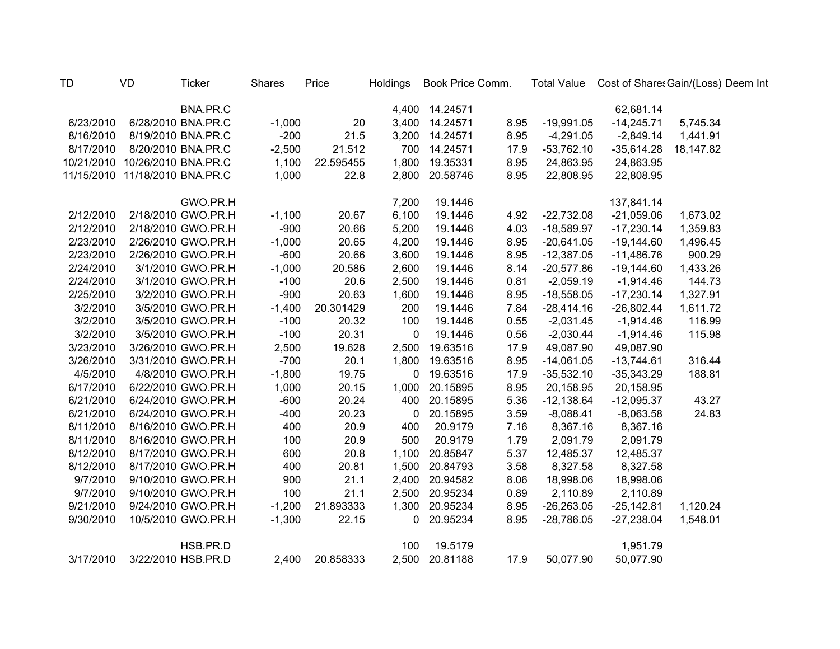| <b>TD</b> | VD                             | <b>Ticker</b>      | Shares   | Price     | Holdings | Book Price Comm. |      |              |              | Total Value Cost of Share: Gain/(Loss) Deem Int |
|-----------|--------------------------------|--------------------|----------|-----------|----------|------------------|------|--------------|--------------|-------------------------------------------------|
|           |                                | BNA.PR.C           |          |           |          | 4,400 14.24571   |      |              | 62,681.14    |                                                 |
| 6/23/2010 |                                | 6/28/2010 BNA.PR.C | $-1,000$ | 20        |          | 3,400 14.24571   | 8.95 | $-19,991.05$ | $-14,245.71$ | 5,745.34                                        |
| 8/16/2010 |                                | 8/19/2010 BNA.PR.C | $-200$   | 21.5      |          | 3,200 14.24571   | 8.95 | $-4,291.05$  | $-2,849.14$  | 1,441.91                                        |
| 8/17/2010 |                                | 8/20/2010 BNA.PR.C | $-2,500$ | 21.512    | 700      | 14.24571         | 17.9 | $-53,762.10$ | $-35,614.28$ | 18,147.82                                       |
|           | 10/21/2010 10/26/2010 BNA.PR.C |                    | 1,100    | 22.595455 | 1,800    | 19.35331         | 8.95 | 24,863.95    | 24,863.95    |                                                 |
|           | 11/15/2010 11/18/2010 BNA.PR.C |                    | 1,000    | 22.8      | 2,800    | 20.58746         | 8.95 | 22,808.95    | 22,808.95    |                                                 |
|           |                                | GWO.PR.H           |          |           | 7,200    | 19.1446          |      |              | 137,841.14   |                                                 |
| 2/12/2010 |                                | 2/18/2010 GWO.PR.H | $-1,100$ | 20.67     | 6,100    | 19.1446          | 4.92 | $-22,732.08$ | $-21,059.06$ | 1,673.02                                        |
| 2/12/2010 |                                | 2/18/2010 GWO.PR.H | $-900$   | 20.66     | 5,200    | 19.1446          | 4.03 | $-18,589.97$ | $-17,230.14$ | 1,359.83                                        |
| 2/23/2010 |                                | 2/26/2010 GWO.PR.H | $-1,000$ | 20.65     | 4,200    | 19.1446          | 8.95 | $-20,641.05$ | $-19,144.60$ | 1,496.45                                        |
| 2/23/2010 |                                | 2/26/2010 GWO.PR.H | $-600$   | 20.66     | 3,600    | 19.1446          | 8.95 | $-12,387.05$ | $-11,486.76$ | 900.29                                          |
| 2/24/2010 |                                | 3/1/2010 GWO.PR.H  | $-1,000$ | 20.586    | 2,600    | 19.1446          | 8.14 | $-20,577.86$ | $-19,144.60$ | 1,433.26                                        |
| 2/24/2010 |                                | 3/1/2010 GWO.PR.H  | $-100$   | 20.6      | 2,500    | 19.1446          | 0.81 | $-2,059.19$  | $-1,914.46$  | 144.73                                          |
| 2/25/2010 |                                | 3/2/2010 GWO.PR.H  | $-900$   | 20.63     | 1,600    | 19.1446          | 8.95 | $-18,558.05$ | $-17,230.14$ | 1,327.91                                        |
| 3/2/2010  |                                | 3/5/2010 GWO.PR.H  | $-1,400$ | 20.301429 | 200      | 19.1446          | 7.84 | $-28,414.16$ | $-26,802.44$ | 1,611.72                                        |
| 3/2/2010  |                                | 3/5/2010 GWO.PR.H  | $-100$   | 20.32     | 100      | 19.1446          | 0.55 | $-2,031.45$  | $-1,914.46$  | 116.99                                          |
| 3/2/2010  |                                | 3/5/2010 GWO.PR.H  | $-100$   | 20.31     | 0        | 19.1446          | 0.56 | $-2,030.44$  | $-1,914.46$  | 115.98                                          |
| 3/23/2010 |                                | 3/26/2010 GWO.PR.H | 2,500    | 19.628    | 2,500    | 19.63516         | 17.9 | 49,087.90    | 49,087.90    |                                                 |
| 3/26/2010 |                                | 3/31/2010 GWO.PR.H | $-700$   | 20.1      | 1,800    | 19.63516         | 8.95 | $-14,061.05$ | $-13,744.61$ | 316.44                                          |
| 4/5/2010  |                                | 4/8/2010 GWO.PR.H  | $-1,800$ | 19.75     | 0        | 19.63516         | 17.9 | $-35,532.10$ | $-35,343.29$ | 188.81                                          |
| 6/17/2010 |                                | 6/22/2010 GWO.PR.H | 1,000    | 20.15     | 1,000    | 20.15895         | 8.95 | 20,158.95    | 20,158.95    |                                                 |
| 6/21/2010 |                                | 6/24/2010 GWO.PR.H | $-600$   | 20.24     | 400      | 20.15895         | 5.36 | $-12,138.64$ | $-12,095.37$ | 43.27                                           |
| 6/21/2010 |                                | 6/24/2010 GWO.PR.H | $-400$   | 20.23     | 0        | 20.15895         | 3.59 | $-8,088.41$  | $-8,063.58$  | 24.83                                           |
| 8/11/2010 |                                | 8/16/2010 GWO.PR.H | 400      | 20.9      | 400      | 20.9179          | 7.16 | 8,367.16     | 8,367.16     |                                                 |
| 8/11/2010 |                                | 8/16/2010 GWO.PR.H | 100      | 20.9      | 500      | 20.9179          | 1.79 | 2,091.79     | 2,091.79     |                                                 |
| 8/12/2010 |                                | 8/17/2010 GWO.PR.H | 600      | 20.8      | 1,100    | 20.85847         | 5.37 | 12,485.37    | 12,485.37    |                                                 |
| 8/12/2010 |                                | 8/17/2010 GWO.PR.H | 400      | 20.81     | 1,500    | 20.84793         | 3.58 | 8,327.58     | 8,327.58     |                                                 |
| 9/7/2010  |                                | 9/10/2010 GWO.PR.H | 900      | 21.1      | 2,400    | 20.94582         | 8.06 | 18,998.06    | 18,998.06    |                                                 |
| 9/7/2010  |                                | 9/10/2010 GWO.PR.H | 100      | 21.1      | 2,500    | 20.95234         | 0.89 | 2,110.89     | 2,110.89     |                                                 |
| 9/21/2010 |                                | 9/24/2010 GWO.PR.H | $-1,200$ | 21.893333 | 1,300    | 20.95234         | 8.95 | $-26,263.05$ | $-25,142.81$ | 1,120.24                                        |
| 9/30/2010 |                                | 10/5/2010 GWO.PR.H | $-1,300$ | 22.15     | 0        | 20.95234         | 8.95 | $-28,786.05$ | $-27,238.04$ | 1,548.01                                        |
|           |                                | HSB.PR.D           |          |           | 100      | 19.5179          |      |              | 1,951.79     |                                                 |
| 3/17/2010 |                                | 3/22/2010 HSB.PR.D | 2,400    | 20.858333 | 2,500    | 20.81188         | 17.9 | 50,077.90    | 50,077.90    |                                                 |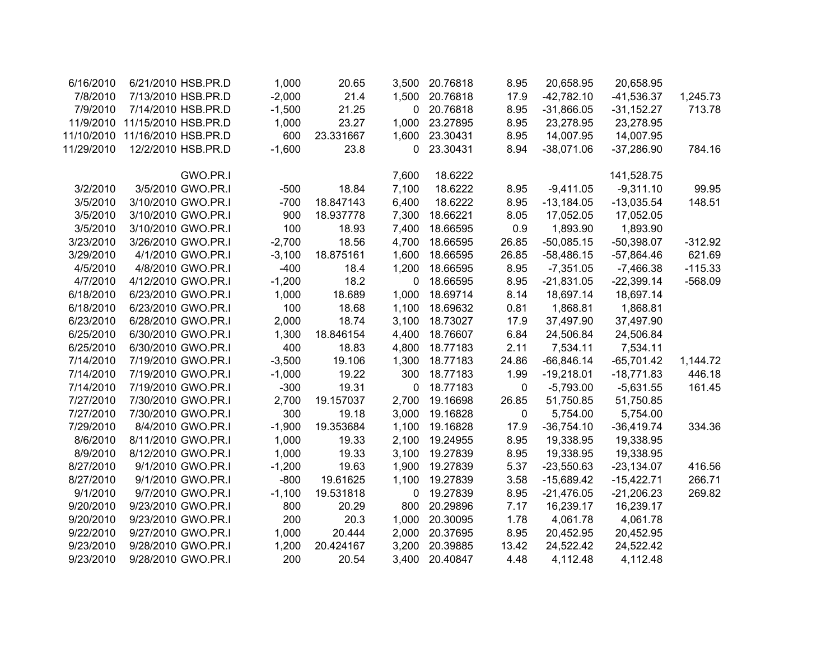| 6/16/2010  | 6/21/2010 HSB.PR.D  | 1,000    | 20.65     | 3,500 | 20.76818 | 8.95  | 20,658.95    | 20,658.95    |           |
|------------|---------------------|----------|-----------|-------|----------|-------|--------------|--------------|-----------|
| 7/8/2010   | 7/13/2010 HSB.PR.D  | $-2,000$ | 21.4      | 1,500 | 20.76818 | 17.9  | $-42,782.10$ | $-41,536.37$ | 1,245.73  |
| 7/9/2010   | 7/14/2010 HSB.PR.D  | $-1,500$ | 21.25     | 0     | 20.76818 | 8.95  | $-31,866.05$ | $-31,152.27$ | 713.78    |
| 11/9/2010  | 11/15/2010 HSB.PR.D | 1,000    | 23.27     | 1,000 | 23.27895 | 8.95  | 23,278.95    | 23,278.95    |           |
| 11/10/2010 | 11/16/2010 HSB.PR.D | 600      | 23.331667 | 1,600 | 23.30431 | 8.95  | 14,007.95    | 14,007.95    |           |
| 11/29/2010 | 12/2/2010 HSB.PR.D  | $-1,600$ | 23.8      | 0     | 23.30431 | 8.94  | $-38,071.06$ | $-37,286.90$ | 784.16    |
|            | GWO.PR.I            |          |           | 7,600 | 18.6222  |       |              | 141,528.75   |           |
| 3/2/2010   | 3/5/2010 GWO.PR.I   | $-500$   | 18.84     | 7,100 | 18.6222  | 8.95  | $-9,411.05$  | $-9,311.10$  | 99.95     |
| 3/5/2010   | 3/10/2010 GWO.PR.I  | $-700$   | 18.847143 | 6,400 | 18.6222  | 8.95  | $-13,184.05$ | $-13,035.54$ | 148.51    |
| 3/5/2010   | 3/10/2010 GWO.PR.I  | 900      | 18.937778 | 7,300 | 18.66221 | 8.05  | 17,052.05    | 17,052.05    |           |
| 3/5/2010   | 3/10/2010 GWO.PR.I  | 100      | 18.93     | 7,400 | 18.66595 | 0.9   | 1,893.90     | 1,893.90     |           |
| 3/23/2010  | 3/26/2010 GWO.PR.I  | $-2,700$ | 18.56     | 4,700 | 18.66595 | 26.85 | $-50,085.15$ | $-50,398.07$ | $-312.92$ |
| 3/29/2010  | 4/1/2010 GWO.PR.I   | $-3,100$ | 18.875161 | 1,600 | 18.66595 | 26.85 | $-58,486.15$ | $-57,864.46$ | 621.69    |
| 4/5/2010   | 4/8/2010 GWO.PR.I   | $-400$   | 18.4      | 1,200 | 18.66595 | 8.95  | $-7,351.05$  | $-7,466.38$  | $-115.33$ |
| 4/7/2010   | 4/12/2010 GWO.PR.I  | $-1,200$ | 18.2      | 0     | 18.66595 | 8.95  | $-21,831.05$ | $-22,399.14$ | $-568.09$ |
| 6/18/2010  | 6/23/2010 GWO.PR.I  | 1,000    | 18.689    | 1,000 | 18.69714 | 8.14  | 18,697.14    | 18,697.14    |           |
| 6/18/2010  | 6/23/2010 GWO.PR.I  | 100      | 18.68     | 1,100 | 18.69632 | 0.81  | 1,868.81     | 1,868.81     |           |
| 6/23/2010  | 6/28/2010 GWO.PR.I  | 2,000    | 18.74     | 3,100 | 18.73027 | 17.9  | 37,497.90    | 37,497.90    |           |
| 6/25/2010  | 6/30/2010 GWO.PR.I  | 1,300    | 18.846154 | 4,400 | 18.76607 | 6.84  | 24,506.84    | 24,506.84    |           |
| 6/25/2010  | 6/30/2010 GWO.PR.I  | 400      | 18.83     | 4,800 | 18.77183 | 2.11  | 7,534.11     | 7,534.11     |           |
| 7/14/2010  | 7/19/2010 GWO.PR.I  | $-3,500$ | 19.106    | 1,300 | 18.77183 | 24.86 | $-66,846.14$ | $-65,701.42$ | 1,144.72  |
| 7/14/2010  | 7/19/2010 GWO.PR.I  | $-1,000$ | 19.22     | 300   | 18.77183 | 1.99  | $-19,218.01$ | $-18,771.83$ | 446.18    |
| 7/14/2010  | 7/19/2010 GWO.PR.I  | $-300$   | 19.31     | 0     | 18.77183 | 0     | $-5,793.00$  | $-5,631.55$  | 161.45    |
| 7/27/2010  | 7/30/2010 GWO.PR.I  | 2,700    | 19.157037 | 2,700 | 19.16698 | 26.85 | 51,750.85    | 51,750.85    |           |
| 7/27/2010  | 7/30/2010 GWO.PR.I  | 300      | 19.18     | 3,000 | 19.16828 | 0     | 5,754.00     | 5,754.00     |           |
| 7/29/2010  | 8/4/2010 GWO.PR.I   | $-1,900$ | 19.353684 | 1,100 | 19.16828 | 17.9  | $-36,754.10$ | $-36,419.74$ | 334.36    |
| 8/6/2010   | 8/11/2010 GWO.PR.I  | 1,000    | 19.33     | 2,100 | 19.24955 | 8.95  | 19,338.95    | 19,338.95    |           |
| 8/9/2010   | 8/12/2010 GWO.PR.I  | 1,000    | 19.33     | 3,100 | 19.27839 | 8.95  | 19,338.95    | 19,338.95    |           |
| 8/27/2010  | 9/1/2010 GWO.PR.I   | $-1,200$ | 19.63     | 1,900 | 19.27839 | 5.37  | $-23,550.63$ | $-23,134.07$ | 416.56    |
| 8/27/2010  | 9/1/2010 GWO.PR.I   | $-800$   | 19.61625  | 1,100 | 19.27839 | 3.58  | $-15,689.42$ | $-15,422.71$ | 266.71    |
| 9/1/2010   | 9/7/2010 GWO.PR.I   | $-1,100$ | 19.531818 | 0     | 19.27839 | 8.95  | $-21,476.05$ | $-21,206.23$ | 269.82    |
| 9/20/2010  | 9/23/2010 GWO.PR.I  | 800      | 20.29     | 800   | 20.29896 | 7.17  | 16,239.17    | 16,239.17    |           |
| 9/20/2010  | 9/23/2010 GWO.PR.I  | 200      | 20.3      | 1,000 | 20.30095 | 1.78  | 4,061.78     | 4,061.78     |           |
| 9/22/2010  | 9/27/2010 GWO.PR.I  | 1,000    | 20.444    | 2,000 | 20.37695 | 8.95  | 20,452.95    | 20,452.95    |           |
| 9/23/2010  | 9/28/2010 GWO.PR.I  | 1,200    | 20.424167 | 3,200 | 20.39885 | 13.42 | 24,522.42    | 24,522.42    |           |
| 9/23/2010  | 9/28/2010 GWO.PR.I  | 200      | 20.54     | 3,400 | 20.40847 | 4.48  | 4,112.48     | 4,112.48     |           |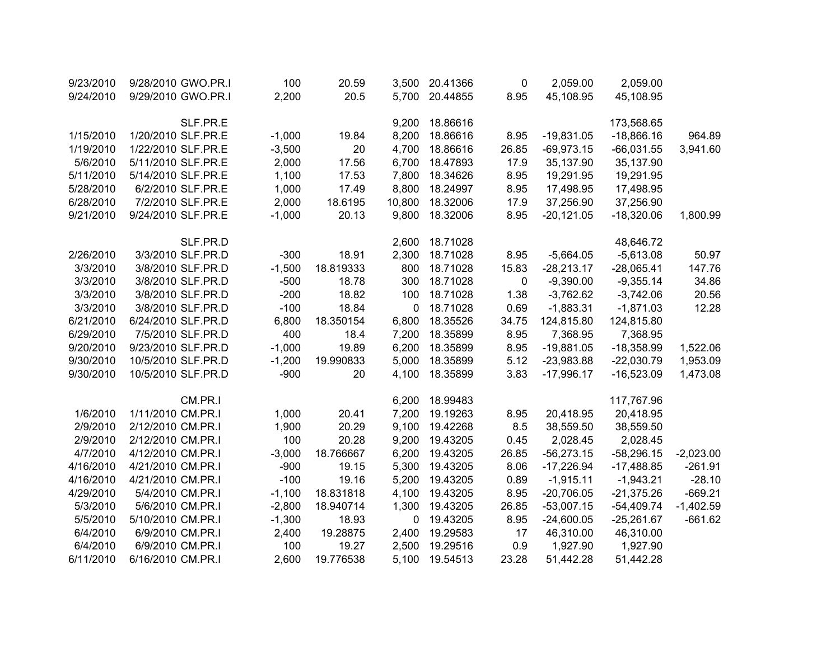| 9/23/2010 | 9/28/2010 GWO.PR.I | 100      | 20.59     | 3,500  | 20.41366 | 0     | 2,059.00     | 2,059.00     |             |
|-----------|--------------------|----------|-----------|--------|----------|-------|--------------|--------------|-------------|
| 9/24/2010 | 9/29/2010 GWO.PR.I | 2,200    | 20.5      | 5,700  | 20.44855 | 8.95  | 45,108.95    | 45,108.95    |             |
|           |                    |          |           |        |          |       |              |              |             |
|           | SLF.PR.E           |          |           | 9,200  | 18.86616 |       |              | 173,568.65   |             |
| 1/15/2010 | 1/20/2010 SLF.PR.E | $-1,000$ | 19.84     | 8,200  | 18.86616 | 8.95  | $-19,831.05$ | $-18,866.16$ | 964.89      |
| 1/19/2010 | 1/22/2010 SLF.PR.E | $-3,500$ | 20        | 4,700  | 18.86616 | 26.85 | $-69,973.15$ | $-66,031.55$ | 3,941.60    |
| 5/6/2010  | 5/11/2010 SLF.PR.E | 2,000    | 17.56     | 6,700  | 18.47893 | 17.9  | 35,137.90    | 35,137.90    |             |
| 5/11/2010 | 5/14/2010 SLF.PR.E | 1,100    | 17.53     | 7,800  | 18.34626 | 8.95  | 19,291.95    | 19,291.95    |             |
| 5/28/2010 | 6/2/2010 SLF.PR.E  | 1,000    | 17.49     | 8,800  | 18.24997 | 8.95  | 17,498.95    | 17,498.95    |             |
| 6/28/2010 | 7/2/2010 SLF.PR.E  | 2,000    | 18.6195   | 10,800 | 18.32006 | 17.9  | 37,256.90    | 37,256.90    |             |
| 9/21/2010 | 9/24/2010 SLF.PR.E | $-1,000$ | 20.13     | 9,800  | 18.32006 | 8.95  | $-20,121.05$ | $-18,320.06$ | 1,800.99    |
|           |                    |          |           |        |          |       |              |              |             |
|           | SLF.PR.D           |          |           | 2,600  | 18.71028 |       |              | 48,646.72    |             |
| 2/26/2010 | 3/3/2010 SLF.PR.D  | $-300$   | 18.91     | 2,300  | 18.71028 | 8.95  | $-5,664.05$  | $-5,613.08$  | 50.97       |
| 3/3/2010  | 3/8/2010 SLF.PR.D  | $-1,500$ | 18.819333 | 800    | 18.71028 | 15.83 | $-28,213.17$ | $-28,065.41$ | 147.76      |
| 3/3/2010  | 3/8/2010 SLF.PR.D  | $-500$   | 18.78     | 300    | 18.71028 | 0     | $-9,390.00$  | $-9,355.14$  | 34.86       |
| 3/3/2010  | 3/8/2010 SLF.PR.D  | $-200$   | 18.82     | 100    | 18.71028 | 1.38  | $-3,762.62$  | $-3,742.06$  | 20.56       |
| 3/3/2010  | 3/8/2010 SLF.PR.D  | $-100$   | 18.84     | 0      | 18.71028 | 0.69  | $-1,883.31$  | $-1,871.03$  | 12.28       |
| 6/21/2010 | 6/24/2010 SLF.PR.D | 6,800    | 18.350154 | 6,800  | 18.35526 | 34.75 | 124,815.80   | 124,815.80   |             |
| 6/29/2010 | 7/5/2010 SLF.PR.D  | 400      | 18.4      | 7,200  | 18.35899 | 8.95  | 7,368.95     | 7,368.95     |             |
| 9/20/2010 | 9/23/2010 SLF.PR.D | $-1,000$ | 19.89     | 6,200  | 18.35899 | 8.95  | $-19,881.05$ | $-18,358.99$ | 1,522.06    |
| 9/30/2010 | 10/5/2010 SLF.PR.D | $-1,200$ | 19.990833 | 5,000  | 18.35899 | 5.12  | $-23,983.88$ | $-22,030.79$ | 1,953.09    |
| 9/30/2010 | 10/5/2010 SLF.PR.D | $-900$   | 20        | 4,100  | 18.35899 | 3.83  | $-17,996.17$ | $-16,523.09$ | 1,473.08    |
|           |                    |          |           |        |          |       |              |              |             |
|           | CM.PR.I            |          |           | 6,200  | 18.99483 |       |              | 117,767.96   |             |
| 1/6/2010  | 1/11/2010 CM.PR.I  | 1,000    | 20.41     | 7,200  | 19.19263 | 8.95  | 20,418.95    | 20,418.95    |             |
| 2/9/2010  | 2/12/2010 CM.PR.I  | 1,900    | 20.29     | 9,100  | 19.42268 | 8.5   | 38,559.50    | 38,559.50    |             |
| 2/9/2010  | 2/12/2010 CM.PR.I  | 100      | 20.28     | 9,200  | 19.43205 | 0.45  | 2,028.45     | 2,028.45     |             |
| 4/7/2010  | 4/12/2010 CM.PR.I  | $-3,000$ | 18.766667 | 6,200  | 19.43205 | 26.85 | $-56,273.15$ | $-58,296.15$ | $-2,023.00$ |
| 4/16/2010 | 4/21/2010 CM.PR.I  | $-900$   | 19.15     | 5,300  | 19.43205 | 8.06  | $-17,226.94$ | $-17,488.85$ | $-261.91$   |
| 4/16/2010 | 4/21/2010 CM.PR.I  | $-100$   | 19.16     | 5,200  | 19.43205 | 0.89  | $-1,915.11$  | $-1,943.21$  | $-28.10$    |
| 4/29/2010 | 5/4/2010 CM.PR.I   | $-1,100$ | 18.831818 | 4,100  | 19.43205 | 8.95  | $-20,706.05$ | $-21,375.26$ | $-669.21$   |
| 5/3/2010  | 5/6/2010 CM.PR.I   | $-2,800$ | 18.940714 | 1,300  | 19.43205 | 26.85 | $-53,007.15$ | $-54,409.74$ | $-1,402.59$ |
| 5/5/2010  | 5/10/2010 CM.PR.I  | $-1,300$ | 18.93     | 0      | 19.43205 | 8.95  | $-24,600.05$ | $-25,261.67$ | $-661.62$   |
| 6/4/2010  | 6/9/2010 CM.PR.I   | 2,400    | 19.28875  | 2,400  | 19.29583 | 17    | 46,310.00    | 46,310.00    |             |
| 6/4/2010  | 6/9/2010 CM.PR.I   | 100      | 19.27     | 2,500  | 19.29516 | 0.9   | 1,927.90     | 1,927.90     |             |
| 6/11/2010 | 6/16/2010 CM.PR.I  | 2,600    | 19.776538 | 5,100  | 19.54513 | 23.28 | 51,442.28    | 51,442.28    |             |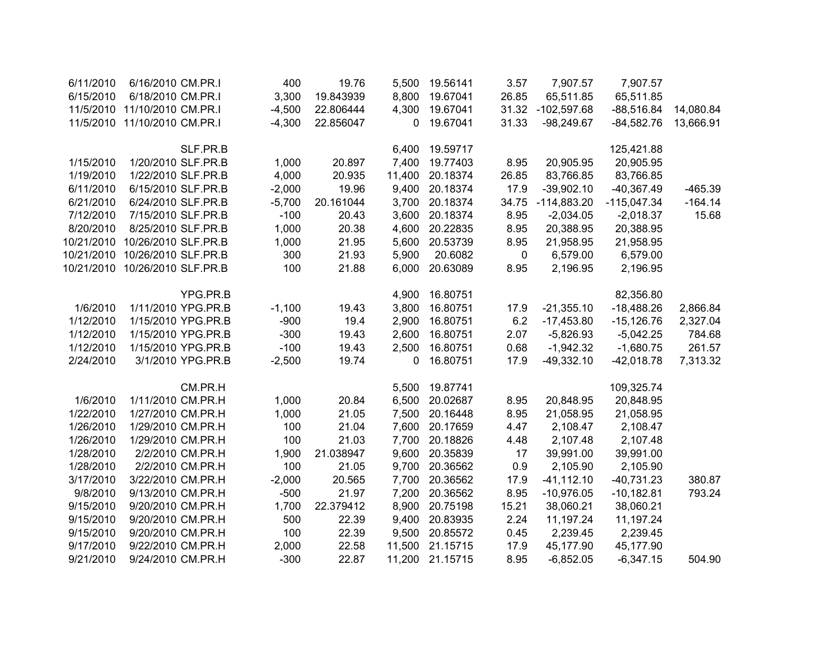| 6/11/2010  | 6/16/2010 CM.PR.I              |                    | 400      | 19.76     | 5,500  | 19.56141       | 3.57  | 7,907.57      | 7,907.57      |           |
|------------|--------------------------------|--------------------|----------|-----------|--------|----------------|-------|---------------|---------------|-----------|
| 6/15/2010  | 6/18/2010 CM.PR.I              |                    | 3,300    | 19.843939 | 8,800  | 19.67041       | 26.85 | 65,511.85     | 65,511.85     |           |
| 11/5/2010  | 11/10/2010 CM.PR.I             |                    | $-4,500$ | 22.806444 | 4,300  | 19.67041       | 31.32 | $-102,597.68$ | $-88,516.84$  | 14,080.84 |
| 11/5/2010  | 11/10/2010 CM.PR.I             |                    | $-4,300$ | 22.856047 | 0      | 19.67041       | 31.33 | $-98,249.67$  | $-84,582.76$  | 13,666.91 |
|            |                                | SLF.PR.B           |          |           | 6,400  | 19.59717       |       |               | 125,421.88    |           |
| 1/15/2010  | 1/20/2010 SLF.PR.B             |                    | 1,000    | 20.897    | 7,400  | 19.77403       | 8.95  | 20,905.95     | 20,905.95     |           |
| 1/19/2010  | 1/22/2010 SLF.PR.B             |                    | 4,000    | 20.935    | 11,400 | 20.18374       | 26.85 | 83,766.85     | 83,766.85     |           |
| 6/11/2010  | 6/15/2010 SLF.PR.B             |                    | $-2,000$ | 19.96     | 9,400  | 20.18374       | 17.9  | $-39,902.10$  | $-40,367.49$  | $-465.39$ |
| 6/21/2010  | 6/24/2010 SLF.PR.B             |                    | $-5,700$ | 20.161044 |        | 3,700 20.18374 | 34.75 | $-114,883.20$ | $-115,047.34$ | $-164.14$ |
| 7/12/2010  | 7/15/2010 SLF.PR.B             |                    | $-100$   | 20.43     | 3,600  | 20.18374       | 8.95  | $-2,034.05$   | $-2,018.37$   | 15.68     |
| 8/20/2010  | 8/25/2010 SLF.PR.B             |                    | 1,000    | 20.38     | 4,600  | 20.22835       | 8.95  | 20,388.95     | 20,388.95     |           |
| 10/21/2010 | 10/26/2010 SLF.PR.B            |                    | 1,000    | 21.95     | 5,600  | 20.53739       | 8.95  | 21,958.95     | 21,958.95     |           |
| 10/21/2010 | 10/26/2010 SLF.PR.B            |                    | 300      | 21.93     | 5,900  | 20.6082        | 0     | 6,579.00      | 6,579.00      |           |
|            | 10/21/2010 10/26/2010 SLF.PR.B |                    | 100      | 21.88     | 6,000  | 20.63089       | 8.95  | 2,196.95      | 2,196.95      |           |
|            |                                | YPG.PR.B           |          |           | 4,900  | 16.80751       |       |               | 82,356.80     |           |
| 1/6/2010   |                                | 1/11/2010 YPG.PR.B | $-1,100$ | 19.43     | 3,800  | 16.80751       | 17.9  | $-21,355.10$  | $-18,488.26$  | 2,866.84  |
| 1/12/2010  |                                | 1/15/2010 YPG.PR.B | $-900$   | 19.4      | 2,900  | 16.80751       | 6.2   | $-17,453.80$  | $-15,126.76$  | 2,327.04  |
| 1/12/2010  |                                | 1/15/2010 YPG.PR.B | $-300$   | 19.43     | 2,600  | 16.80751       | 2.07  | $-5,826.93$   | $-5,042.25$   | 784.68    |
| 1/12/2010  |                                | 1/15/2010 YPG.PR.B | $-100$   | 19.43     | 2,500  | 16.80751       | 0.68  | $-1,942.32$   | $-1,680.75$   | 261.57    |
| 2/24/2010  |                                | 3/1/2010 YPG.PR.B  | $-2,500$ | 19.74     | 0      | 16.80751       | 17.9  | $-49,332.10$  | $-42,018.78$  | 7,313.32  |
|            |                                | CM.PR.H            |          |           | 5,500  | 19.87741       |       |               | 109,325.74    |           |
| 1/6/2010   | 1/11/2010 CM.PR.H              |                    | 1,000    | 20.84     | 6,500  | 20.02687       | 8.95  | 20,848.95     | 20,848.95     |           |
| 1/22/2010  | 1/27/2010 CM.PR.H              |                    | 1,000    | 21.05     | 7,500  | 20.16448       | 8.95  | 21,058.95     | 21,058.95     |           |
| 1/26/2010  | 1/29/2010 CM.PR.H              |                    | 100      | 21.04     | 7,600  | 20.17659       | 4.47  | 2,108.47      | 2,108.47      |           |
| 1/26/2010  | 1/29/2010 CM.PR.H              |                    | 100      | 21.03     | 7,700  | 20.18826       | 4.48  | 2,107.48      | 2,107.48      |           |
| 1/28/2010  |                                | 2/2/2010 CM.PR.H   | 1,900    | 21.038947 | 9,600  | 20.35839       | 17    | 39,991.00     | 39,991.00     |           |
| 1/28/2010  |                                | 2/2/2010 CM.PR.H   | 100      | 21.05     | 9,700  | 20.36562       | 0.9   | 2,105.90      | 2,105.90      |           |
| 3/17/2010  | 3/22/2010 CM.PR.H              |                    | $-2,000$ | 20.565    | 7,700  | 20.36562       | 17.9  | $-41, 112.10$ | $-40,731.23$  | 380.87    |
| 9/8/2010   | 9/13/2010 CM.PR.H              |                    | $-500$   | 21.97     | 7,200  | 20.36562       | 8.95  | $-10,976.05$  | $-10,182.81$  | 793.24    |
| 9/15/2010  | 9/20/2010 CM.PR.H              |                    | 1,700    | 22.379412 | 8,900  | 20.75198       | 15.21 | 38,060.21     | 38,060.21     |           |
| 9/15/2010  | 9/20/2010 CM.PR.H              |                    | 500      | 22.39     | 9,400  | 20.83935       | 2.24  | 11,197.24     | 11,197.24     |           |
| 9/15/2010  | 9/20/2010 CM.PR.H              |                    | 100      | 22.39     | 9,500  | 20.85572       | 0.45  | 2,239.45      | 2,239.45      |           |
| 9/17/2010  | 9/22/2010 CM.PR.H              |                    | 2,000    | 22.58     | 11,500 | 21.15715       | 17.9  | 45,177.90     | 45,177.90     |           |
| 9/21/2010  | 9/24/2010 CM.PR.H              |                    | $-300$   | 22.87     | 11,200 | 21.15715       | 8.95  | $-6,852.05$   | $-6,347.15$   | 504.90    |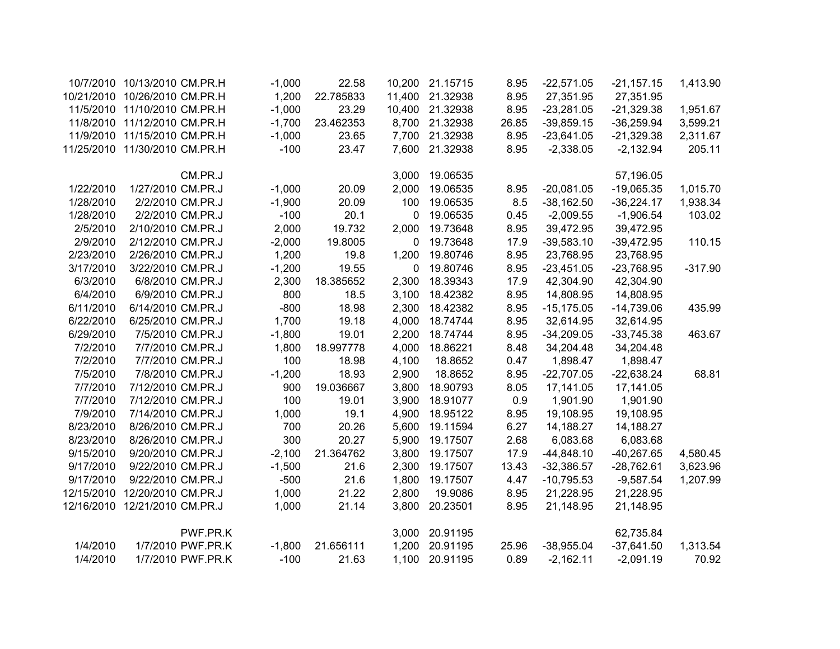|            | 10/7/2010 10/13/2010 CM.PR.H  | $-1,000$ | 22.58     | 10,200 | 21.15715 | 8.95  | $-22,571.05$  | $-21,157.15$ | 1,413.90  |
|------------|-------------------------------|----------|-----------|--------|----------|-------|---------------|--------------|-----------|
| 10/21/2010 | 10/26/2010 CM.PR.H            | 1,200    | 22.785833 | 11,400 | 21.32938 | 8.95  | 27,351.95     | 27,351.95    |           |
|            | 11/5/2010 11/10/2010 CM.PR.H  | $-1,000$ | 23.29     | 10,400 | 21.32938 | 8.95  | $-23,281.05$  | $-21,329.38$ | 1,951.67  |
|            | 11/8/2010 11/12/2010 CM.PR.H  | $-1,700$ | 23.462353 | 8,700  | 21.32938 | 26.85 | $-39,859.15$  | $-36,259.94$ | 3,599.21  |
|            | 11/9/2010 11/15/2010 CM.PR.H  | $-1,000$ | 23.65     | 7,700  | 21.32938 | 8.95  | $-23,641.05$  | $-21,329.38$ | 2,311.67  |
|            | 11/25/2010 11/30/2010 CM.PR.H | $-100$   | 23.47     | 7,600  | 21.32938 | 8.95  | $-2,338.05$   | $-2,132.94$  | 205.11    |
|            | CM.PR.J                       |          |           | 3,000  | 19.06535 |       |               | 57,196.05    |           |
| 1/22/2010  | 1/27/2010 CM.PR.J             | $-1,000$ | 20.09     | 2,000  | 19.06535 | 8.95  | $-20,081.05$  | $-19,065.35$ | 1,015.70  |
| 1/28/2010  | 2/2/2010 CM.PR.J              | $-1,900$ | 20.09     | 100    | 19.06535 | 8.5   | $-38,162.50$  | $-36,224.17$ | 1,938.34  |
| 1/28/2010  | 2/2/2010 CM.PR.J              | $-100$   | 20.1      | 0      | 19.06535 | 0.45  | $-2,009.55$   | $-1,906.54$  | 103.02    |
| 2/5/2010   | 2/10/2010 CM.PR.J             | 2,000    | 19.732    | 2,000  | 19.73648 | 8.95  | 39,472.95     | 39,472.95    |           |
| 2/9/2010   | 2/12/2010 CM.PR.J             | $-2,000$ | 19.8005   | 0      | 19.73648 | 17.9  | $-39,583.10$  | $-39,472.95$ | 110.15    |
| 2/23/2010  | 2/26/2010 CM.PR.J             | 1,200    | 19.8      | 1,200  | 19.80746 | 8.95  | 23,768.95     | 23,768.95    |           |
| 3/17/2010  | 3/22/2010 CM.PR.J             | $-1,200$ | 19.55     | 0      | 19.80746 | 8.95  | $-23,451.05$  | $-23,768.95$ | $-317.90$ |
| 6/3/2010   | 6/8/2010 CM.PR.J              | 2,300    | 18.385652 | 2,300  | 18.39343 | 17.9  | 42,304.90     | 42,304.90    |           |
| 6/4/2010   | 6/9/2010 CM.PR.J              | 800      | 18.5      | 3,100  | 18.42382 | 8.95  | 14,808.95     | 14,808.95    |           |
| 6/11/2010  | 6/14/2010 CM.PR.J             | $-800$   | 18.98     | 2,300  | 18.42382 | 8.95  | $-15, 175.05$ | $-14,739.06$ | 435.99    |
| 6/22/2010  | 6/25/2010 CM.PR.J             | 1,700    | 19.18     | 4,000  | 18.74744 | 8.95  | 32,614.95     | 32,614.95    |           |
| 6/29/2010  | 7/5/2010 CM.PR.J              | $-1,800$ | 19.01     | 2,200  | 18.74744 | 8.95  | $-34,209.05$  | $-33,745.38$ | 463.67    |
| 7/2/2010   | 7/7/2010 CM.PR.J              | 1,800    | 18.997778 | 4,000  | 18.86221 | 8.48  | 34,204.48     | 34,204.48    |           |
| 7/2/2010   | 7/7/2010 CM.PR.J              | 100      | 18.98     | 4,100  | 18.8652  | 0.47  | 1,898.47      | 1,898.47     |           |
| 7/5/2010   | 7/8/2010 CM.PR.J              | $-1,200$ | 18.93     | 2,900  | 18.8652  | 8.95  | $-22,707.05$  | $-22,638.24$ | 68.81     |
| 7/7/2010   | 7/12/2010 CM.PR.J             | 900      | 19.036667 | 3,800  | 18.90793 | 8.05  | 17,141.05     | 17,141.05    |           |
| 7/7/2010   | 7/12/2010 CM.PR.J             | 100      | 19.01     | 3,900  | 18.91077 | 0.9   | 1,901.90      | 1,901.90     |           |
| 7/9/2010   | 7/14/2010 CM.PR.J             | 1,000    | 19.1      | 4,900  | 18.95122 | 8.95  | 19,108.95     | 19,108.95    |           |
| 8/23/2010  | 8/26/2010 CM.PR.J             | 700      | 20.26     | 5,600  | 19.11594 | 6.27  | 14,188.27     | 14,188.27    |           |
| 8/23/2010  | 8/26/2010 CM.PR.J             | 300      | 20.27     | 5,900  | 19.17507 | 2.68  | 6,083.68      | 6,083.68     |           |
| 9/15/2010  | 9/20/2010 CM.PR.J             | $-2,100$ | 21.364762 | 3,800  | 19.17507 | 17.9  | $-44,848.10$  | $-40,267.65$ | 4,580.45  |
| 9/17/2010  | 9/22/2010 CM.PR.J             | $-1,500$ | 21.6      | 2,300  | 19.17507 | 13.43 | $-32,386.57$  | $-28,762.61$ | 3,623.96  |
| 9/17/2010  | 9/22/2010 CM.PR.J             | $-500$   | 21.6      | 1,800  | 19.17507 | 4.47  | $-10,795.53$  | $-9,587.54$  | 1,207.99  |
| 12/15/2010 | 12/20/2010 CM.PR.J            | 1,000    | 21.22     | 2,800  | 19.9086  | 8.95  | 21,228.95     | 21,228.95    |           |
| 12/16/2010 | 12/21/2010 CM.PR.J            | 1,000    | 21.14     | 3,800  | 20.23501 | 8.95  | 21,148.95     | 21,148.95    |           |
|            | PWF.PR.K                      |          |           | 3,000  | 20.91195 |       |               | 62,735.84    |           |
| 1/4/2010   | 1/7/2010 PWF.PR.K             | $-1,800$ | 21.656111 | 1,200  | 20.91195 | 25.96 | $-38,955.04$  | $-37,641.50$ | 1,313.54  |
| 1/4/2010   | 1/7/2010 PWF.PR.K             | $-100$   | 21.63     | 1,100  | 20.91195 | 0.89  | $-2,162.11$   | $-2,091.19$  | 70.92     |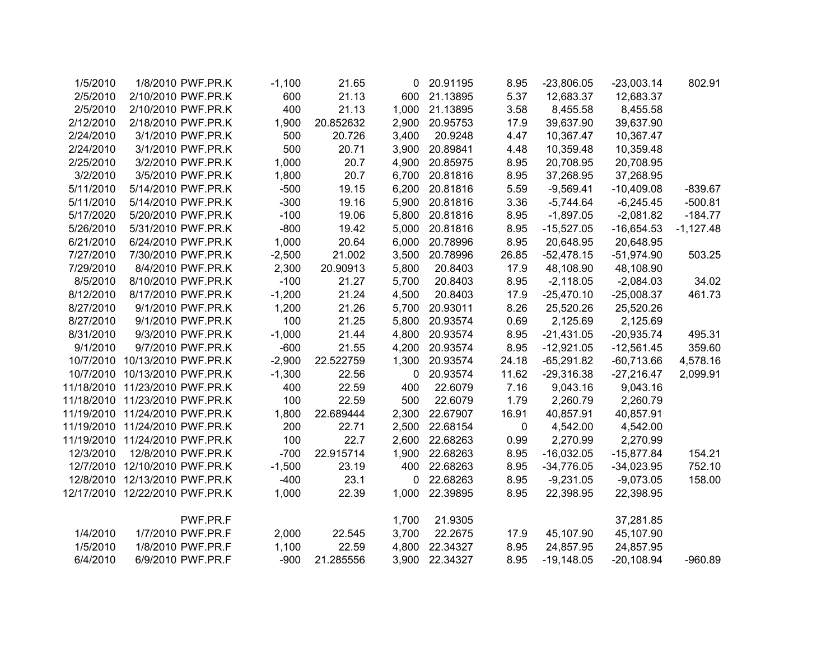| 1/5/2010  | 1/8/2010 PWF.PR.K              | $-1,100$ | 21.65     |                | 0 20.91195     | 8.95        | $-23,806.05$ | $-23,003.14$ | 802.91      |
|-----------|--------------------------------|----------|-----------|----------------|----------------|-------------|--------------|--------------|-------------|
| 2/5/2010  | 2/10/2010 PWF.PR.K             | 600      | 21.13     |                | 600 21.13895   | 5.37        | 12,683.37    | 12,683.37    |             |
| 2/5/2010  | 2/10/2010 PWF.PR.K             | 400      | 21.13     | 1,000          | 21.13895       | 3.58        | 8,455.58     | 8,455.58     |             |
| 2/12/2010 | 2/18/2010 PWF.PR.K             | 1,900    | 20.852632 |                | 2,900 20.95753 | 17.9        | 39,637.90    | 39,637.90    |             |
| 2/24/2010 | 3/1/2010 PWF.PR.K              | 500      | 20.726    | 3,400          | 20.9248        | 4.47        | 10,367.47    | 10,367.47    |             |
| 2/24/2010 | 3/1/2010 PWF.PR.K              | 500      | 20.71     |                | 3,900 20.89841 | 4.48        | 10,359.48    | 10,359.48    |             |
| 2/25/2010 | 3/2/2010 PWF.PR.K              | 1,000    | 20.7      |                | 4,900 20.85975 | 8.95        | 20,708.95    | 20,708.95    |             |
| 3/2/2010  | 3/5/2010 PWF.PR.K              | 1,800    | 20.7      | 6,700          | 20.81816       | 8.95        | 37,268.95    | 37,268.95    |             |
| 5/11/2010 | 5/14/2010 PWF.PR.K             | $-500$   | 19.15     | 6,200          | 20.81816       | 5.59        | $-9,569.41$  | $-10,409.08$ | $-839.67$   |
| 5/11/2010 | 5/14/2010 PWF.PR.K             | $-300$   | 19.16     | 5,900          | 20.81816       | 3.36        | $-5,744.64$  | $-6,245.45$  | $-500.81$   |
| 5/17/2020 | 5/20/2010 PWF.PR.K             | $-100$   | 19.06     |                | 5,800 20.81816 | 8.95        | $-1,897.05$  | $-2,081.82$  | $-184.77$   |
| 5/26/2010 | 5/31/2010 PWF.PR.K             | $-800$   | 19.42     | 5,000          | 20.81816       | 8.95        | $-15,527.05$ | $-16,654.53$ | $-1,127.48$ |
| 6/21/2010 | 6/24/2010 PWF.PR.K             | 1,000    | 20.64     | 6,000          | 20.78996       | 8.95        | 20,648.95    | 20,648.95    |             |
| 7/27/2010 | 7/30/2010 PWF.PR.K             | $-2,500$ | 21.002    | 3,500          | 20.78996       | 26.85       | $-52,478.15$ | $-51,974.90$ | 503.25      |
| 7/29/2010 | 8/4/2010 PWF.PR.K              | 2,300    | 20.90913  | 5,800          | 20.8403        | 17.9        | 48,108.90    | 48,108.90    |             |
| 8/5/2010  | 8/10/2010 PWF.PR.K             | $-100$   | 21.27     | 5,700          | 20.8403        | 8.95        | $-2,118.05$  | $-2,084.03$  | 34.02       |
| 8/12/2010 | 8/17/2010 PWF.PR.K             | $-1,200$ | 21.24     | 4,500          | 20.8403        | 17.9        | $-25,470.10$ | $-25,008.37$ | 461.73      |
| 8/27/2010 | 9/1/2010 PWF.PR.K              | 1,200    | 21.26     |                | 5,700 20.93011 | 8.26        | 25,520.26    | 25,520.26    |             |
| 8/27/2010 | 9/1/2010 PWF.PR.K              | 100      | 21.25     |                | 5,800 20.93574 | 0.69        | 2,125.69     | 2,125.69     |             |
| 8/31/2010 | 9/3/2010 PWF.PR.K              | $-1,000$ | 21.44     |                | 4,800 20.93574 | 8.95        | $-21,431.05$ | $-20,935.74$ | 495.31      |
| 9/1/2010  | 9/7/2010 PWF.PR.K              | $-600$   | 21.55     | 4,200          | 20.93574       | 8.95        | $-12,921.05$ | $-12,561.45$ | 359.60      |
|           | 10/7/2010 10/13/2010 PWF.PR.K  | $-2,900$ | 22.522759 |                | 1,300 20.93574 | 24.18       | $-65,291.82$ | $-60,713.66$ | 4,578.16    |
|           | 10/7/2010 10/13/2010 PWF.PR.K  | $-1,300$ | 22.56     | $\overline{0}$ | 20.93574       | 11.62       | $-29,316.38$ | $-27,216.47$ | 2,099.91    |
|           | 11/18/2010 11/23/2010 PWF.PR.K | 400      | 22.59     | 400            | 22.6079        | 7.16        | 9,043.16     | 9,043.16     |             |
|           | 11/18/2010 11/23/2010 PWF.PR.K | 100      | 22.59     | 500            | 22.6079        | 1.79        | 2,260.79     | 2,260.79     |             |
|           | 11/19/2010 11/24/2010 PWF.PR.K | 1,800    | 22.689444 |                | 2,300 22.67907 | 16.91       | 40,857.91    | 40,857.91    |             |
|           | 11/19/2010 11/24/2010 PWF.PR.K | 200      | 22.71     |                | 2,500 22.68154 | $\mathbf 0$ | 4,542.00     | 4,542.00     |             |
|           | 11/19/2010 11/24/2010 PWF.PR.K | 100      | 22.7      |                | 2,600 22.68263 | 0.99        | 2,270.99     | 2,270.99     |             |
| 12/3/2010 | 12/8/2010 PWF.PR.K             | $-700$   | 22.915714 |                | 1,900 22.68263 | 8.95        | $-16,032.05$ | $-15,877.84$ | 154.21      |
|           | 12/7/2010 12/10/2010 PWF.PR.K  | $-1,500$ | 23.19     |                | 400 22.68263   | 8.95        | $-34,776.05$ | $-34,023.95$ | 752.10      |
|           | 12/8/2010 12/13/2010 PWF.PR.K  | $-400$   | 23.1      |                | 0 22.68263     | 8.95        | $-9,231.05$  | $-9,073.05$  | 158.00      |
|           | 12/17/2010 12/22/2010 PWF.PR.K | 1,000    | 22.39     |                | 1,000 22.39895 | 8.95        | 22,398.95    | 22,398.95    |             |
|           |                                |          |           |                |                |             |              |              |             |
|           | PWF.PR.F                       |          |           | 1,700          | 21.9305        |             |              | 37,281.85    |             |
| 1/4/2010  | 1/7/2010 PWF.PR.F              | 2,000    | 22.545    | 3,700          | 22.2675        | 17.9        | 45,107.90    | 45,107.90    |             |
| 1/5/2010  | 1/8/2010 PWF.PR.F              | 1,100    | 22.59     | 4,800          | 22.34327       | 8.95        | 24,857.95    | 24,857.95    |             |
| 6/4/2010  | 6/9/2010 PWF.PR.F              | $-900$   | 21.285556 |                | 3,900 22.34327 | 8.95        | $-19,148.05$ | $-20,108.94$ | $-960.89$   |
|           |                                |          |           |                |                |             |              |              |             |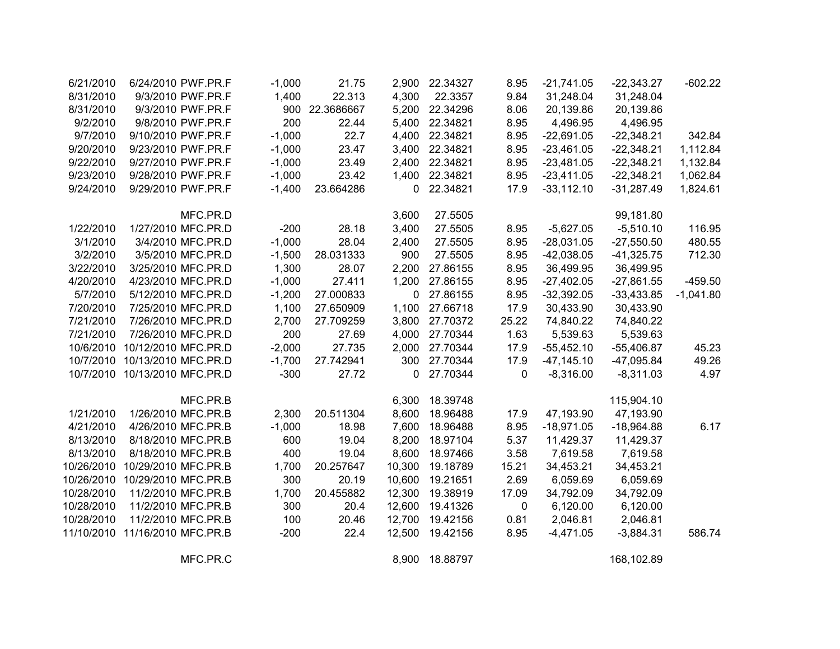| 6/21/2010  | 6/24/2010 PWF.PR.F            | $-1,000$ | 21.75      |              | 2,900 22.34327 | 8.95  | $-21,741.05$  | $-22,343.27$ | $-602.22$   |
|------------|-------------------------------|----------|------------|--------------|----------------|-------|---------------|--------------|-------------|
| 8/31/2010  | 9/3/2010 PWF.PR.F             | 1,400    | 22.313     | 4,300        | 22.3357        | 9.84  | 31,248.04     | 31,248.04    |             |
| 8/31/2010  | 9/3/2010 PWF.PR.F             | 900      | 22.3686667 |              | 5,200 22.34296 | 8.06  | 20,139.86     | 20,139.86    |             |
| 9/2/2010   | 9/8/2010 PWF.PR.F             | 200      | 22.44      | 5,400        | 22.34821       | 8.95  | 4,496.95      | 4,496.95     |             |
| 9/7/2010   | 9/10/2010 PWF.PR.F            | $-1,000$ | 22.7       | 4,400        | 22.34821       | 8.95  | $-22,691.05$  | $-22,348.21$ | 342.84      |
| 9/20/2010  | 9/23/2010 PWF.PR.F            | $-1,000$ | 23.47      | 3,400        | 22.34821       | 8.95  | $-23,461.05$  | $-22,348.21$ | 1,112.84    |
| 9/22/2010  | 9/27/2010 PWF.PR.F            | $-1,000$ | 23.49      | 2,400        | 22.34821       | 8.95  | $-23,481.05$  | $-22,348.21$ | 1,132.84    |
| 9/23/2010  | 9/28/2010 PWF.PR.F            | $-1,000$ | 23.42      | 1,400        | 22.34821       | 8.95  | $-23,411.05$  | $-22,348.21$ | 1,062.84    |
| 9/24/2010  | 9/29/2010 PWF.PR.F            | $-1,400$ | 23.664286  | 0            | 22.34821       | 17.9  | $-33,112.10$  | $-31,287.49$ | 1,824.61    |
|            | MFC.PR.D                      |          |            | 3,600        | 27.5505        |       |               | 99,181.80    |             |
| 1/22/2010  | 1/27/2010 MFC.PR.D            | $-200$   | 28.18      | 3,400        | 27.5505        | 8.95  | $-5,627.05$   | $-5,510.10$  | 116.95      |
| 3/1/2010   | 3/4/2010 MFC.PR.D             | $-1,000$ | 28.04      | 2,400        | 27.5505        | 8.95  | $-28,031.05$  | $-27,550.50$ | 480.55      |
| 3/2/2010   | 3/5/2010 MFC.PR.D             | $-1,500$ | 28.031333  | 900          | 27.5505        | 8.95  | $-42,038.05$  | $-41,325.75$ | 712.30      |
| 3/22/2010  | 3/25/2010 MFC.PR.D            | 1,300    | 28.07      | 2,200        | 27.86155       | 8.95  | 36,499.95     | 36,499.95    |             |
| 4/20/2010  | 4/23/2010 MFC.PR.D            | $-1,000$ | 27.411     | 1,200        | 27.86155       | 8.95  | $-27,402.05$  | $-27,861.55$ | $-459.50$   |
| 5/7/2010   | 5/12/2010 MFC.PR.D            | $-1,200$ | 27.000833  | $\mathbf{0}$ | 27.86155       | 8.95  | $-32,392.05$  | $-33,433.85$ | $-1,041.80$ |
| 7/20/2010  | 7/25/2010 MFC.PR.D            | 1,100    | 27.650909  | 1,100        | 27.66718       | 17.9  | 30,433.90     | 30,433.90    |             |
| 7/21/2010  | 7/26/2010 MFC.PR.D            | 2,700    | 27.709259  | 3,800        | 27.70372       | 25.22 | 74,840.22     | 74,840.22    |             |
| 7/21/2010  | 7/26/2010 MFC.PR.D            | 200      | 27.69      | 4,000        | 27.70344       | 1.63  | 5,539.63      | 5,539.63     |             |
| 10/6/2010  | 10/12/2010 MFC.PR.D           | $-2,000$ | 27.735     | 2,000        | 27.70344       | 17.9  | $-55,452.10$  | $-55,406.87$ | 45.23       |
| 10/7/2010  | 10/13/2010 MFC.PR.D           | $-1,700$ | 27.742941  | 300          | 27.70344       | 17.9  | $-47, 145.10$ | $-47,095.84$ | 49.26       |
|            | 10/7/2010 10/13/2010 MFC.PR.D | $-300$   | 27.72      |              | 0 27.70344     | 0     | $-8,316.00$   | $-8,311.03$  | 4.97        |
|            | MFC.PR.B                      |          |            | 6,300        | 18.39748       |       |               | 115,904.10   |             |
| 1/21/2010  | 1/26/2010 MFC.PR.B            | 2,300    | 20.511304  | 8,600        | 18.96488       | 17.9  | 47,193.90     | 47,193.90    |             |
| 4/21/2010  | 4/26/2010 MFC.PR.B            | $-1,000$ | 18.98      | 7,600        | 18.96488       | 8.95  | $-18,971.05$  | $-18,964.88$ | 6.17        |
| 8/13/2010  | 8/18/2010 MFC.PR.B            | 600      | 19.04      | 8,200        | 18.97104       | 5.37  | 11,429.37     | 11,429.37    |             |
| 8/13/2010  | 8/18/2010 MFC.PR.B            | 400      | 19.04      | 8,600        | 18.97466       | 3.58  | 7,619.58      | 7,619.58     |             |
| 10/26/2010 | 10/29/2010 MFC.PR.B           | 1,700    | 20.257647  | 10,300       | 19.18789       | 15.21 | 34,453.21     | 34,453.21    |             |
| 10/26/2010 | 10/29/2010 MFC.PR.B           | 300      | 20.19      | 10,600       | 19.21651       | 2.69  | 6,059.69      | 6,059.69     |             |
| 10/28/2010 | 11/2/2010 MFC.PR.B            | 1,700    | 20.455882  | 12,300       | 19.38919       | 17.09 | 34,792.09     | 34,792.09    |             |
| 10/28/2010 | 11/2/2010 MFC.PR.B            | 300      | 20.4       | 12,600       | 19.41326       | 0     | 6,120.00      | 6,120.00     |             |
| 10/28/2010 | 11/2/2010 MFC.PR.B            | 100      | 20.46      | 12,700       | 19.42156       | 0.81  | 2,046.81      | 2,046.81     |             |
| 11/10/2010 | 11/16/2010 MFC.PR.B           | $-200$   | 22.4       | 12,500       | 19.42156       | 8.95  | $-4,471.05$   | $-3,884.31$  | 586.74      |
|            | MFC.PR.C                      |          |            | 8,900        | 18.88797       |       |               | 168,102.89   |             |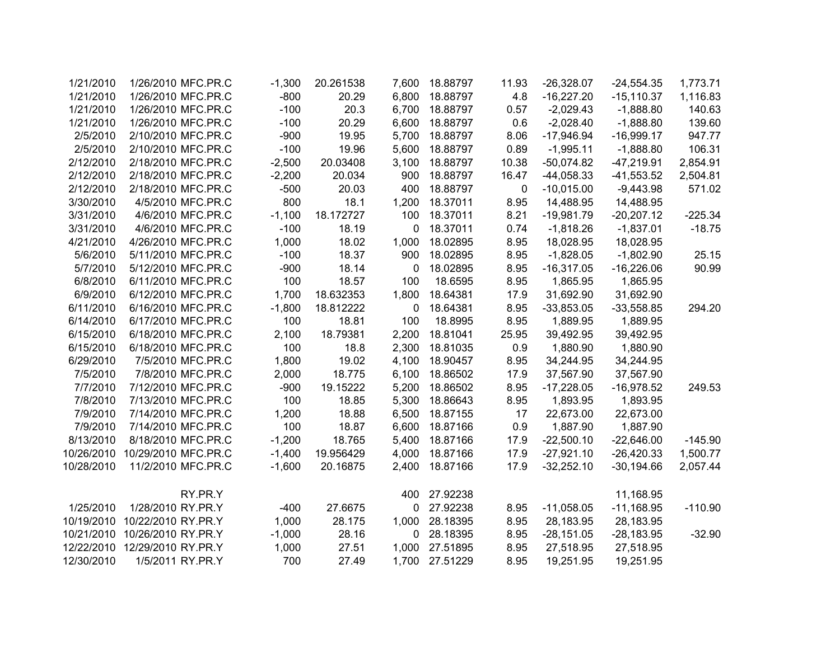| 1,773.71  | $-24,554.35$ | $-26,328.07$ | 11.93 | 18.88797 | 7,600       | 20.261538 | $-1,300$ | 1/26/2010 MFC.PR.C  | 1/21/2010  |
|-----------|--------------|--------------|-------|----------|-------------|-----------|----------|---------------------|------------|
| 1,116.83  | $-15,110.37$ | $-16,227.20$ | 4.8   | 18.88797 | 6,800       | 20.29     | $-800$   | 1/26/2010 MFC.PR.C  | 1/21/2010  |
| 140.63    | $-1,888.80$  | $-2,029.43$  | 0.57  | 18.88797 | 6,700       | 20.3      | $-100$   | 1/26/2010 MFC.PR.C  | 1/21/2010  |
| 139.60    | $-1,888.80$  | $-2,028.40$  | 0.6   | 18.88797 | 6,600       | 20.29     | $-100$   | 1/26/2010 MFC.PR.C  | 1/21/2010  |
| 947.77    | $-16,999.17$ | $-17,946.94$ | 8.06  | 18.88797 | 5,700       | 19.95     | $-900$   | 2/10/2010 MFC.PR.C  | 2/5/2010   |
| 106.31    | $-1,888.80$  | $-1,995.11$  | 0.89  | 18.88797 | 5,600       | 19.96     | $-100$   | 2/10/2010 MFC.PR.C  | 2/5/2010   |
| 2,854.91  | $-47,219.91$ | $-50,074.82$ | 10.38 | 18.88797 | 3,100       | 20.03408  | $-2,500$ | 2/18/2010 MFC.PR.C  | 2/12/2010  |
| 2,504.81  | $-41,553.52$ | $-44,058.33$ | 16.47 | 18.88797 | 900         | 20.034    | $-2,200$ | 2/18/2010 MFC.PR.C  | 2/12/2010  |
| 571.02    | $-9,443.98$  | $-10,015.00$ | 0     | 18.88797 | 400         | 20.03     | $-500$   | 2/18/2010 MFC.PR.C  | 2/12/2010  |
|           | 14,488.95    | 14,488.95    | 8.95  | 18.37011 | 1,200       | 18.1      | 800      | 4/5/2010 MFC.PR.C   | 3/30/2010  |
| $-225.34$ | $-20,207.12$ | $-19,981.79$ | 8.21  | 18.37011 | 100         | 18.172727 | $-1,100$ | 4/6/2010 MFC.PR.C   | 3/31/2010  |
| $-18.75$  | $-1,837.01$  | $-1,818.26$  | 0.74  | 18.37011 | $\mathbf 0$ | 18.19     | $-100$   | 4/6/2010 MFC.PR.C   | 3/31/2010  |
|           | 18,028.95    | 18,028.95    | 8.95  | 18.02895 | 1,000       | 18.02     | 1,000    | 4/26/2010 MFC.PR.C  | 4/21/2010  |
| 25.15     | $-1,802.90$  | $-1,828.05$  | 8.95  | 18.02895 | 900         | 18.37     | $-100$   | 5/11/2010 MFC.PR.C  | 5/6/2010   |
| 90.99     | $-16,226.06$ | $-16,317.05$ | 8.95  | 18.02895 | $\mathbf 0$ | 18.14     | $-900$   | 5/12/2010 MFC.PR.C  | 5/7/2010   |
|           | 1,865.95     | 1,865.95     | 8.95  | 18.6595  | 100         | 18.57     | 100      | 6/11/2010 MFC.PR.C  | 6/8/2010   |
|           | 31,692.90    | 31,692.90    | 17.9  | 18.64381 | 1,800       | 18.632353 | 1,700    | 6/12/2010 MFC.PR.C  | 6/9/2010   |
| 294.20    | $-33,558.85$ | $-33,853.05$ | 8.95  | 18.64381 | 0           | 18.812222 | $-1,800$ | 6/16/2010 MFC.PR.C  | 6/11/2010  |
|           | 1,889.95     | 1,889.95     | 8.95  | 18.8995  | 100         | 18.81     | 100      | 6/17/2010 MFC.PR.C  | 6/14/2010  |
|           | 39,492.95    | 39,492.95    | 25.95 | 18.81041 | 2,200       | 18.79381  | 2,100    | 6/18/2010 MFC.PR.C  | 6/15/2010  |
|           | 1,880.90     | 1,880.90     | 0.9   | 18.81035 | 2,300       | 18.8      | 100      | 6/18/2010 MFC.PR.C  | 6/15/2010  |
|           | 34,244.95    | 34,244.95    | 8.95  | 18.90457 | 4,100       | 19.02     | 1,800    | 7/5/2010 MFC.PR.C   | 6/29/2010  |
|           | 37,567.90    | 37,567.90    | 17.9  | 18.86502 | 6,100       | 18.775    | 2,000    | 7/8/2010 MFC.PR.C   | 7/5/2010   |
| 249.53    | $-16,978.52$ | $-17,228.05$ | 8.95  | 18.86502 | 5,200       | 19.15222  | $-900$   | 7/12/2010 MFC.PR.C  | 7/7/2010   |
|           | 1,893.95     | 1,893.95     | 8.95  | 18.86643 | 5,300       | 18.85     | 100      | 7/13/2010 MFC.PR.C  | 7/8/2010   |
|           | 22,673.00    | 22,673.00    | 17    | 18.87155 | 6,500       | 18.88     | 1,200    | 7/14/2010 MFC.PR.C  | 7/9/2010   |
|           | 1,887.90     | 1,887.90     | 0.9   | 18.87166 | 6,600       | 18.87     | 100      | 7/14/2010 MFC.PR.C  | 7/9/2010   |
| $-145.90$ | $-22,646.00$ | $-22,500.10$ | 17.9  | 18.87166 | 5,400       | 18.765    | $-1,200$ | 8/18/2010 MFC.PR.C  | 8/13/2010  |
| 1,500.77  | $-26,420.33$ | $-27,921.10$ | 17.9  | 18.87166 | 4,000       | 19.956429 | $-1,400$ | 10/29/2010 MFC.PR.C | 10/26/2010 |
| 2,057.44  | $-30,194.66$ | $-32,252.10$ | 17.9  | 18.87166 | 2,400       | 20.16875  | $-1,600$ | 11/2/2010 MFC.PR.C  | 10/28/2010 |
|           |              |              |       |          |             |           |          |                     |            |
|           | 11,168.95    |              |       | 27.92238 | 400         |           |          | RY.PR.Y             |            |
| $-110.90$ | $-11,168.95$ | $-11,058.05$ | 8.95  | 27.92238 | 0           | 27.6675   | $-400$   | 1/28/2010 RY.PR.Y   | 1/25/2010  |
|           | 28,183.95    | 28,183.95    | 8.95  | 28.18395 | 1,000       | 28.175    | 1,000    | 10/22/2010 RY.PR.Y  | 10/19/2010 |
| $-32.90$  | $-28,183.95$ | $-28,151.05$ | 8.95  | 28.18395 | 0           | 28.16     | $-1,000$ | 10/26/2010 RY.PR.Y  | 10/21/2010 |
|           | 27,518.95    | 27,518.95    | 8.95  | 27.51895 | 1,000       | 27.51     | 1,000    | 12/29/2010 RY.PR.Y  | 12/22/2010 |
|           | 19,251.95    | 19,251.95    | 8.95  | 27.51229 | 1,700       | 27.49     | 700      | 1/5/2011 RY.PR.Y    | 12/30/2010 |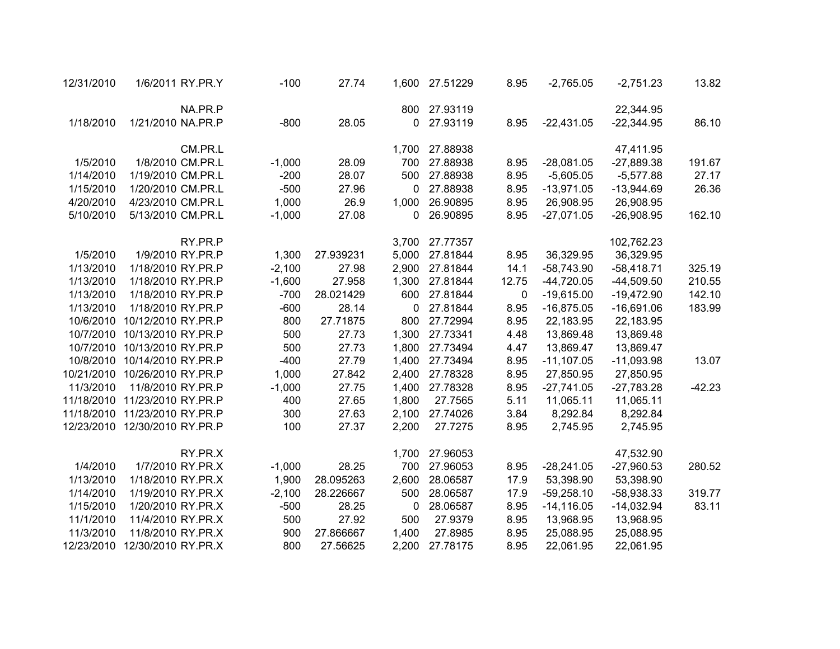| 12/31/2010 | 1/6/2011 RY.PR.Y              | $-100$   | 27.74     | 1,600 | 27.51229 | 8.95  | $-2,765.05$   | $-2,751.23$  | 13.82    |
|------------|-------------------------------|----------|-----------|-------|----------|-------|---------------|--------------|----------|
|            | NA.PR.P                       |          |           | 800   | 27.93119 |       |               | 22,344.95    |          |
| 1/18/2010  | 1/21/2010 NA.PR.P             | $-800$   | 28.05     | 0     | 27.93119 | 8.95  | $-22,431.05$  | $-22,344.95$ | 86.10    |
|            | CM.PR.L                       |          |           | 1,700 | 27.88938 |       |               | 47,411.95    |          |
| 1/5/2010   | 1/8/2010 CM.PR.L              | $-1,000$ | 28.09     | 700   | 27.88938 | 8.95  | $-28,081.05$  | $-27,889.38$ | 191.67   |
| 1/14/2010  | 1/19/2010 CM.PR.L             | $-200$   | 28.07     | 500   | 27.88938 | 8.95  | $-5,605.05$   | $-5,577.88$  | 27.17    |
| 1/15/2010  | 1/20/2010 CM.PR.L             | $-500$   | 27.96     | 0     | 27.88938 | 8.95  | $-13,971.05$  | $-13,944.69$ | 26.36    |
| 4/20/2010  | 4/23/2010 CM.PR.L             | 1,000    | 26.9      | 1,000 | 26.90895 | 8.95  | 26,908.95     | 26,908.95    |          |
| 5/10/2010  | 5/13/2010 CM.PR.L             | $-1,000$ | 27.08     | 0     | 26.90895 | 8.95  | $-27,071.05$  | $-26,908.95$ | 162.10   |
|            | RY.PR.P                       |          |           | 3,700 | 27.77357 |       |               | 102,762.23   |          |
| 1/5/2010   | 1/9/2010 RY.PR.P              | 1,300    | 27.939231 | 5,000 | 27.81844 | 8.95  | 36,329.95     | 36,329.95    |          |
| 1/13/2010  | 1/18/2010 RY.PR.P             | $-2,100$ | 27.98     | 2,900 | 27.81844 | 14.1  | $-58,743.90$  | $-58,418.71$ | 325.19   |
| 1/13/2010  | 1/18/2010 RY.PR.P             | $-1,600$ | 27.958    | 1,300 | 27.81844 | 12.75 | $-44,720.05$  | $-44,509.50$ | 210.55   |
| 1/13/2010  | 1/18/2010 RY.PR.P             | $-700$   | 28.021429 | 600   | 27.81844 | 0     | $-19,615.00$  | $-19,472.90$ | 142.10   |
| 1/13/2010  | 1/18/2010 RY.PR.P             | $-600$   | 28.14     | 0     | 27.81844 | 8.95  | $-16,875.05$  | $-16,691.06$ | 183.99   |
| 10/6/2010  | 10/12/2010 RY.PR.P            | 800      | 27.71875  | 800   | 27.72994 | 8.95  | 22,183.95     | 22,183.95    |          |
| 10/7/2010  | 10/13/2010 RY.PR.P            | 500      | 27.73     | 1,300 | 27.73341 | 4.48  | 13,869.48     | 13,869.48    |          |
| 10/7/2010  | 10/13/2010 RY.PR.P            | 500      | 27.73     | 1,800 | 27.73494 | 4.47  | 13,869.47     | 13,869.47    |          |
|            | 10/8/2010 10/14/2010 RY.PR.P  | $-400$   | 27.79     | 1,400 | 27.73494 | 8.95  | $-11,107.05$  | $-11,093.98$ | 13.07    |
|            | 10/21/2010 10/26/2010 RY.PR.P | 1,000    | 27.842    | 2,400 | 27.78328 | 8.95  | 27,850.95     | 27,850.95    |          |
| 11/3/2010  | 11/8/2010 RY.PR.P             | $-1,000$ | 27.75     | 1,400 | 27.78328 | 8.95  | $-27,741.05$  | $-27,783.28$ | $-42.23$ |
|            | 11/18/2010 11/23/2010 RY.PR.P | 400      | 27.65     | 1,800 | 27.7565  | 5.11  | 11,065.11     | 11,065.11    |          |
|            | 11/18/2010 11/23/2010 RY.PR.P | 300      | 27.63     | 2,100 | 27.74026 | 3.84  | 8,292.84      | 8,292.84     |          |
|            | 12/23/2010 12/30/2010 RY.PR.P | 100      | 27.37     | 2,200 | 27.7275  | 8.95  | 2,745.95      | 2,745.95     |          |
|            | RY.PR.X                       |          |           | 1,700 | 27.96053 |       |               | 47,532.90    |          |
| 1/4/2010   | 1/7/2010 RY.PR.X              | $-1,000$ | 28.25     | 700   | 27.96053 | 8.95  | $-28,241.05$  | $-27,960.53$ | 280.52   |
| 1/13/2010  | 1/18/2010 RY.PR.X             | 1,900    | 28.095263 | 2,600 | 28.06587 | 17.9  | 53,398.90     | 53,398.90    |          |
| 1/14/2010  | 1/19/2010 RY.PR.X             | $-2,100$ | 28.226667 | 500   | 28.06587 | 17.9  | $-59,258.10$  | $-58,938.33$ | 319.77   |
| 1/15/2010  | 1/20/2010 RY.PR.X             | $-500$   | 28.25     | 0     | 28.06587 | 8.95  | $-14, 116.05$ | $-14,032.94$ | 83.11    |
| 11/1/2010  | 11/4/2010 RY.PR.X             | 500      | 27.92     | 500   | 27.9379  | 8.95  | 13,968.95     | 13,968.95    |          |
| 11/3/2010  | 11/8/2010 RY.PR.X             | 900      | 27.866667 | 1,400 | 27.8985  | 8.95  | 25,088.95     | 25,088.95    |          |
| 12/23/2010 | 12/30/2010 RY.PR.X            | 800      | 27.56625  | 2,200 | 27.78175 | 8.95  | 22,061.95     | 22,061.95    |          |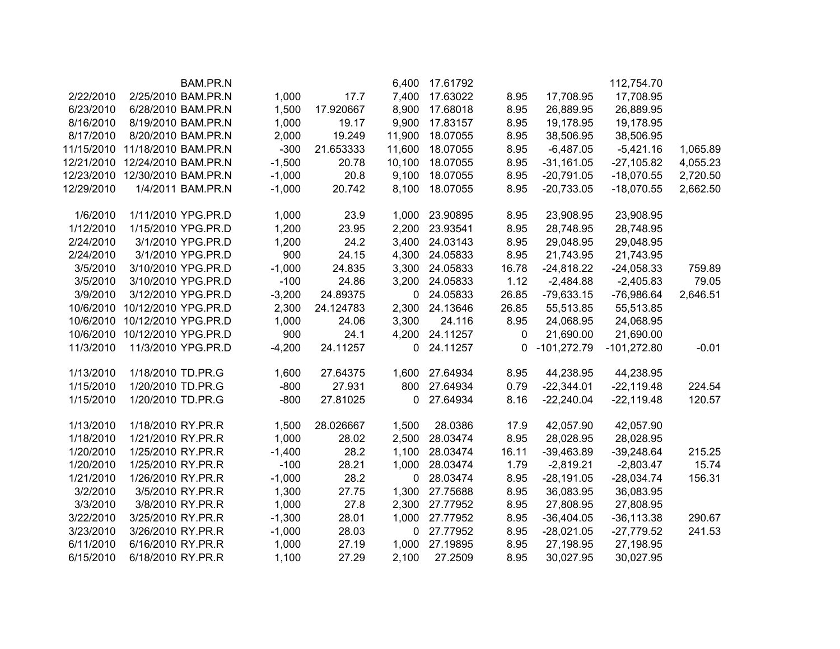|          | 112,754.70    |               |       | 17.61792       | 6,400        |           |          | BAM.PR.N            |                   |            |
|----------|---------------|---------------|-------|----------------|--------------|-----------|----------|---------------------|-------------------|------------|
|          | 17,708.95     | 17,708.95     | 8.95  | 17.63022       | 7,400        | 17.7      | 1,000    | 2/25/2010 BAM.PR.N  |                   | 2/22/2010  |
|          | 26,889.95     | 26,889.95     | 8.95  | 17.68018       | 8,900        | 17.920667 | 1,500    | 6/28/2010 BAM.PR.N  |                   | 6/23/2010  |
|          | 19,178.95     | 19,178.95     | 8.95  | 17.83157       | 9,900        | 19.17     | 1,000    | 8/19/2010 BAM.PR.N  |                   | 8/16/2010  |
|          | 38,506.95     | 38,506.95     | 8.95  | 18.07055       | 11,900       | 19.249    | 2,000    | 8/20/2010 BAM.PR.N  |                   | 8/17/2010  |
| 1,065.89 | $-5,421.16$   | $-6,487.05$   | 8.95  | 18.07055       | 11,600       | 21.653333 | $-300$   | 11/18/2010 BAM.PR.N |                   | 11/15/2010 |
| 4,055.23 | $-27,105.82$  | $-31,161.05$  | 8.95  | 18.07055       | 10,100       | 20.78     | $-1,500$ | 12/24/2010 BAM.PR.N |                   | 12/21/2010 |
| 2,720.50 | $-18,070.55$  | $-20,791.05$  | 8.95  | 18.07055       | 9,100        | 20.8      | $-1,000$ | 12/30/2010 BAM.PR.N |                   | 12/23/2010 |
| 2,662.50 | $-18,070.55$  | $-20,733.05$  | 8.95  | 18.07055       | 8,100        | 20.742    | $-1,000$ | 1/4/2011 BAM.PR.N   |                   | 12/29/2010 |
|          | 23,908.95     | 23,908.95     | 8.95  | 1,000 23.90895 |              | 23.9      | 1,000    | 1/11/2010 YPG.PR.D  |                   | 1/6/2010   |
|          | 28,748.95     | 28,748.95     | 8.95  | 2,200 23.93541 |              | 23.95     | 1,200    | 1/15/2010 YPG.PR.D  |                   | 1/12/2010  |
|          | 29,048.95     | 29,048.95     | 8.95  | 3,400 24.03143 |              | 24.2      | 1,200    | 3/1/2010 YPG.PR.D   |                   | 2/24/2010  |
|          | 21,743.95     | 21,743.95     | 8.95  | 4,300 24.05833 |              | 24.15     | 900      | 3/1/2010 YPG.PR.D   |                   | 2/24/2010  |
| 759.89   | $-24,058.33$  | $-24,818.22$  | 16.78 | 24.05833       | 3,300        | 24.835    | $-1,000$ | 3/10/2010 YPG.PR.D  |                   | 3/5/2010   |
| 79.05    | $-2,405.83$   | $-2,484.88$   | 1.12  | 24.05833       | 3,200        | 24.86     | $-100$   | 3/10/2010 YPG.PR.D  |                   | 3/5/2010   |
| 2,646.51 | $-76,986.64$  | $-79,633.15$  | 26.85 | 24.05833       | $\mathbf{0}$ | 24.89375  | $-3,200$ | 3/12/2010 YPG.PR.D  |                   | 3/9/2010   |
|          | 55,513.85     | 55,513.85     | 26.85 | 24.13646       | 2,300        | 24.124783 | 2,300    | 10/12/2010 YPG.PR.D |                   | 10/6/2010  |
|          | 24,068.95     | 24,068.95     | 8.95  | 24.116         | 3,300        | 24.06     | 1,000    | 10/12/2010 YPG.PR.D |                   | 10/6/2010  |
|          | 21,690.00     | 21,690.00     | 0     | 24.11257       | 4,200        | 24.1      | 900      | 10/12/2010 YPG.PR.D |                   | 10/6/2010  |
| $-0.01$  | $-101,272.80$ | $-101,272.79$ | 0     | 24.11257       | 0            | 24.11257  | $-4,200$ | 11/3/2010 YPG.PR.D  |                   | 11/3/2010  |
|          | 44,238.95     | 44,238.95     | 8.95  | 27.64934       | 1,600        | 27.64375  | 1,600    | 1/18/2010 TD.PR.G   |                   | 1/13/2010  |
| 224.54   | $-22,119.48$  | $-22,344.01$  | 0.79  | 27.64934       | 800          | 27.931    | $-800$   | 1/20/2010 TD.PR.G   |                   | 1/15/2010  |
| 120.57   | $-22,119.48$  | $-22,240.04$  | 8.16  | 27.64934       | 0            | 27.81025  | $-800$   |                     | 1/20/2010 TD.PR.G | 1/15/2010  |
|          | 42,057.90     | 42,057.90     | 17.9  | 28.0386        | 1,500        | 28.026667 | 1,500    | 1/18/2010 RY.PR.R   |                   | 1/13/2010  |
|          | 28,028.95     | 28,028.95     | 8.95  | 28.03474       | 2,500        | 28.02     | 1,000    | 1/21/2010 RY.PR.R   |                   | 1/18/2010  |
| 215.25   | $-39,248.64$  | $-39,463.89$  | 16.11 | 28.03474       | 1,100        | 28.2      | $-1,400$ | 1/25/2010 RY.PR.R   |                   | 1/20/2010  |
| 15.74    | $-2,803.47$   | $-2,819.21$   | 1.79  | 28.03474       | 1,000        | 28.21     | $-100$   | 1/25/2010 RY.PR.R   |                   | 1/20/2010  |
| 156.31   | $-28,034.74$  | $-28,191.05$  | 8.95  | 28.03474       | 0            | 28.2      | $-1,000$ | 1/26/2010 RY.PR.R   |                   | 1/21/2010  |
|          | 36,083.95     | 36,083.95     | 8.95  | 27.75688       | 1,300        | 27.75     | 1,300    | 3/5/2010 RY.PR.R    |                   | 3/2/2010   |
|          | 27,808.95     | 27,808.95     | 8.95  | 27.77952       | 2,300        | 27.8      | 1,000    | 3/8/2010 RY.PR.R    |                   | 3/3/2010   |
| 290.67   | $-36, 113.38$ | $-36,404.05$  | 8.95  | 27.77952       | 1,000        | 28.01     | $-1,300$ | 3/25/2010 RY.PR.R   |                   | 3/22/2010  |
| 241.53   | $-27,779.52$  | $-28,021.05$  | 8.95  | 0 27.77952     |              | 28.03     | $-1,000$ |                     | 3/26/2010 RY.PR.R | 3/23/2010  |
|          | 27,198.95     | 27,198.95     | 8.95  | 27.19895       | 1,000        | 27.19     | 1,000    |                     | 6/16/2010 RY.PR.R | 6/11/2010  |
|          | 30,027.95     | 30,027.95     | 8.95  | 27.2509        | 2,100        | 27.29     | 1,100    |                     | 6/18/2010 RY.PR.R | 6/15/2010  |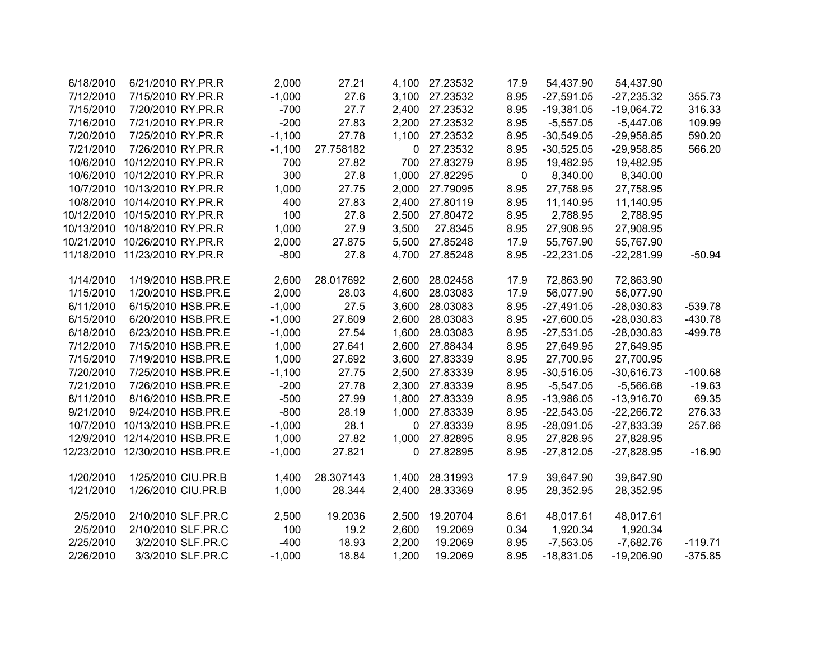| 6/18/2010  | 6/21/2010 RY.PR.R             | 2,000    | 27.21     | 4,100 | 27.23532       | 17.9 | 54,437.90    | 54,437.90    |           |
|------------|-------------------------------|----------|-----------|-------|----------------|------|--------------|--------------|-----------|
| 7/12/2010  | 7/15/2010 RY.PR.R             | $-1,000$ | 27.6      |       | 3,100 27.23532 | 8.95 | $-27,591.05$ | $-27,235.32$ | 355.73    |
| 7/15/2010  | 7/20/2010 RY.PR.R             | $-700$   | 27.7      | 2,400 | 27.23532       | 8.95 | $-19,381.05$ | $-19,064.72$ | 316.33    |
| 7/16/2010  | 7/21/2010 RY.PR.R             | $-200$   | 27.83     | 2,200 | 27.23532       | 8.95 | $-5,557.05$  | $-5,447.06$  | 109.99    |
| 7/20/2010  | 7/25/2010 RY.PR.R             | $-1,100$ | 27.78     | 1,100 | 27.23532       | 8.95 | $-30,549.05$ | $-29,958.85$ | 590.20    |
| 7/21/2010  | 7/26/2010 RY.PR.R             | $-1,100$ | 27.758182 | 0     | 27.23532       | 8.95 | $-30,525.05$ | $-29,958.85$ | 566.20    |
| 10/6/2010  | 10/12/2010 RY.PR.R            | 700      | 27.82     | 700   | 27.83279       | 8.95 | 19,482.95    | 19,482.95    |           |
| 10/6/2010  | 10/12/2010 RY.PR.R            | 300      | 27.8      | 1,000 | 27.82295       | 0    | 8,340.00     | 8,340.00     |           |
| 10/7/2010  | 10/13/2010 RY.PR.R            | 1,000    | 27.75     | 2,000 | 27.79095       | 8.95 | 27,758.95    | 27,758.95    |           |
| 10/8/2010  | 10/14/2010 RY.PR.R            | 400      | 27.83     | 2,400 | 27.80119       | 8.95 | 11,140.95    | 11,140.95    |           |
| 10/12/2010 | 10/15/2010 RY.PR.R            | 100      | 27.8      |       | 2,500 27.80472 | 8.95 | 2,788.95     | 2,788.95     |           |
| 10/13/2010 | 10/18/2010 RY.PR.R            | 1,000    | 27.9      | 3,500 | 27.8345        | 8.95 | 27,908.95    | 27,908.95    |           |
| 10/21/2010 | 10/26/2010 RY.PR.R            | 2,000    | 27.875    |       | 5,500 27.85248 | 17.9 | 55,767.90    | 55,767.90    |           |
|            | 11/18/2010 11/23/2010 RY.PR.R | $-800$   | 27.8      |       | 4,700 27.85248 | 8.95 | $-22,231.05$ | $-22,281.99$ | $-50.94$  |
| 1/14/2010  | 1/19/2010 HSB.PR.E            | 2,600    | 28.017692 |       | 2,600 28.02458 | 17.9 | 72,863.90    | 72,863.90    |           |
| 1/15/2010  | 1/20/2010 HSB.PR.E            | 2,000    | 28.03     | 4,600 | 28.03083       | 17.9 | 56,077.90    | 56,077.90    |           |
| 6/11/2010  | 6/15/2010 HSB.PR.E            | $-1,000$ | 27.5      | 3,600 | 28.03083       | 8.95 | $-27,491.05$ | $-28,030.83$ | $-539.78$ |
| 6/15/2010  | 6/20/2010 HSB.PR.E            | $-1,000$ | 27.609    | 2,600 | 28.03083       | 8.95 | $-27,600.05$ | $-28,030.83$ | $-430.78$ |
| 6/18/2010  | 6/23/2010 HSB.PR.E            | $-1,000$ | 27.54     | 1,600 | 28.03083       | 8.95 | $-27,531.05$ | $-28,030.83$ | $-499.78$ |
| 7/12/2010  | 7/15/2010 HSB.PR.E            | 1,000    | 27.641    |       | 2,600 27.88434 | 8.95 | 27,649.95    | 27,649.95    |           |
| 7/15/2010  | 7/19/2010 HSB.PR.E            | 1,000    | 27.692    |       | 3,600 27.83339 | 8.95 | 27,700.95    | 27,700.95    |           |
| 7/20/2010  | 7/25/2010 HSB.PR.E            | $-1,100$ | 27.75     |       | 2,500 27.83339 | 8.95 | $-30,516.05$ | $-30,616.73$ | $-100.68$ |
| 7/21/2010  | 7/26/2010 HSB.PR.E            | $-200$   | 27.78     |       | 2,300 27.83339 | 8.95 | $-5,547.05$  | $-5,566.68$  | $-19.63$  |
| 8/11/2010  | 8/16/2010 HSB.PR.E            | $-500$   | 27.99     |       | 1,800 27.83339 | 8.95 | $-13,986.05$ | $-13,916.70$ | 69.35     |
| 9/21/2010  | 9/24/2010 HSB.PR.E            | $-800$   | 28.19     | 1,000 | 27.83339       | 8.95 | $-22,543.05$ | $-22,266.72$ | 276.33    |
| 10/7/2010  | 10/13/2010 HSB.PR.E           | $-1,000$ | 28.1      | 0     | 27.83339       | 8.95 | $-28,091.05$ | $-27,833.39$ | 257.66    |
|            | 12/9/2010 12/14/2010 HSB.PR.E | 1,000    | 27.82     | 1,000 | 27.82895       | 8.95 | 27,828.95    | 27,828.95    |           |
| 12/23/2010 | 12/30/2010 HSB.PR.E           | $-1,000$ | 27.821    | 0     | 27.82895       | 8.95 | $-27,812.05$ | $-27,828.95$ | $-16.90$  |
| 1/20/2010  | 1/25/2010 CIU.PR.B            | 1,400    | 28.307143 |       | 1,400 28.31993 | 17.9 | 39,647.90    | 39,647.90    |           |
| 1/21/2010  | 1/26/2010 CIU.PR.B            | 1,000    | 28.344    | 2,400 | 28.33369       | 8.95 | 28,352.95    | 28,352.95    |           |
| 2/5/2010   | 2/10/2010 SLF.PR.C            | 2,500    | 19.2036   | 2,500 | 19.20704       | 8.61 | 48,017.61    | 48,017.61    |           |
| 2/5/2010   | 2/10/2010 SLF.PR.C            | 100      | 19.2      | 2,600 | 19.2069        | 0.34 | 1,920.34     | 1,920.34     |           |
| 2/25/2010  | 3/2/2010 SLF.PR.C             | $-400$   | 18.93     | 2,200 | 19.2069        | 8.95 | $-7,563.05$  | $-7,682.76$  | $-119.71$ |
| 2/26/2010  | 3/3/2010 SLF.PR.C             | $-1,000$ | 18.84     | 1,200 | 19.2069        | 8.95 | $-18,831.05$ | $-19,206.90$ | $-375.85$ |
|            |                               |          |           |       |                |      |              |              |           |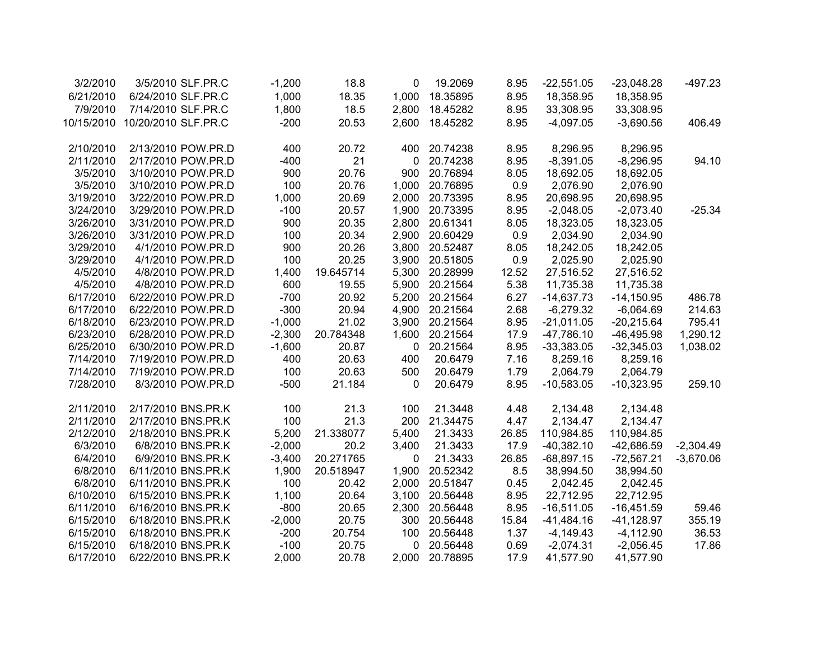| $-497.23$   | $-23,048.28$ | $-22,551.05$ | 8.95  | 19.2069  | 0           | 18.8      | $-1,200$ | 3/5/2010 SLF.PR.C   | 3/2/2010   |
|-------------|--------------|--------------|-------|----------|-------------|-----------|----------|---------------------|------------|
|             | 18,358.95    | 18,358.95    | 8.95  | 18.35895 | 1,000       | 18.35     | 1,000    | 6/24/2010 SLF.PR.C  | 6/21/2010  |
|             | 33,308.95    | 33,308.95    | 8.95  | 18.45282 | 2,800       | 18.5      | 1,800    | 7/14/2010 SLF.PR.C  | 7/9/2010   |
| 406.49      | $-3,690.56$  | $-4,097.05$  | 8.95  | 18.45282 | 2,600       | 20.53     | $-200$   | 10/20/2010 SLF.PR.C | 10/15/2010 |
|             |              |              |       |          |             |           |          |                     |            |
|             | 8,296.95     | 8,296.95     | 8.95  | 20.74238 | 400         | 20.72     | 400      | 2/13/2010 POW.PR.D  | 2/10/2010  |
| 94.10       | $-8,296.95$  | $-8,391.05$  | 8.95  | 20.74238 | $\mathbf 0$ | 21        | $-400$   | 2/17/2010 POW.PR.D  | 2/11/2010  |
|             | 18,692.05    | 18,692.05    | 8.05  | 20.76894 | 900         | 20.76     | 900      | 3/10/2010 POW.PR.D  | 3/5/2010   |
|             | 2,076.90     | 2,076.90     | 0.9   | 20.76895 | 1,000       | 20.76     | 100      | 3/10/2010 POW.PR.D  | 3/5/2010   |
|             | 20,698.95    | 20,698.95    | 8.95  | 20.73395 | 2,000       | 20.69     | 1,000    | 3/22/2010 POW.PR.D  | 3/19/2010  |
| $-25.34$    | $-2,073.40$  | $-2,048.05$  | 8.95  | 20.73395 | 1,900       | 20.57     | $-100$   | 3/29/2010 POW.PR.D  | 3/24/2010  |
|             | 18,323.05    | 18,323.05    | 8.05  | 20.61341 | 2,800       | 20.35     | 900      | 3/31/2010 POW.PR.D  | 3/26/2010  |
|             | 2,034.90     | 2,034.90     | 0.9   | 20.60429 | 2,900       | 20.34     | 100      | 3/31/2010 POW.PR.D  | 3/26/2010  |
|             | 18,242.05    | 18,242.05    | 8.05  | 20.52487 | 3,800       | 20.26     | 900      | 4/1/2010 POW.PR.D   | 3/29/2010  |
|             | 2,025.90     | 2,025.90     | 0.9   | 20.51805 | 3,900       | 20.25     | 100      | 4/1/2010 POW.PR.D   | 3/29/2010  |
|             | 27,516.52    | 27,516.52    | 12.52 | 20.28999 | 5,300       | 19.645714 | 1,400    | 4/8/2010 POW.PR.D   | 4/5/2010   |
|             | 11,735.38    | 11,735.38    | 5.38  | 20.21564 | 5,900       | 19.55     | 600      | 4/8/2010 POW.PR.D   | 4/5/2010   |
| 486.78      | $-14,150.95$ | $-14,637.73$ | 6.27  | 20.21564 | 5,200       | 20.92     | $-700$   | 6/22/2010 POW.PR.D  | 6/17/2010  |
| 214.63      | $-6,064.69$  | $-6,279.32$  | 2.68  | 20.21564 | 4,900       | 20.94     | $-300$   | 6/22/2010 POW.PR.D  | 6/17/2010  |
| 795.41      | $-20,215.64$ | $-21,011.05$ | 8.95  | 20.21564 | 3,900       | 21.02     | $-1,000$ | 6/23/2010 POW.PR.D  | 6/18/2010  |
| 1,290.12    | $-46,495.98$ | $-47,786.10$ | 17.9  | 20.21564 | 1,600       | 20.784348 | $-2,300$ | 6/28/2010 POW.PR.D  | 6/23/2010  |
| 1,038.02    | $-32,345.03$ | $-33,383.05$ | 8.95  | 20.21564 | 0           | 20.87     | $-1,600$ | 6/30/2010 POW.PR.D  | 6/25/2010  |
|             | 8,259.16     | 8,259.16     | 7.16  | 20.6479  | 400         | 20.63     | 400      | 7/19/2010 POW.PR.D  | 7/14/2010  |
|             | 2,064.79     | 2,064.79     | 1.79  | 20.6479  | 500         | 20.63     | 100      | 7/19/2010 POW.PR.D  | 7/14/2010  |
| 259.10      | $-10,323.95$ | $-10,583.05$ | 8.95  | 20.6479  | $\Omega$    | 21.184    | $-500$   | 8/3/2010 POW.PR.D   | 7/28/2010  |
|             | 2,134.48     | 2,134.48     | 4.48  | 21.3448  | 100         | 21.3      | 100      | 2/17/2010 BNS.PR.K  | 2/11/2010  |
|             | 2,134.47     | 2,134.47     | 4.47  | 21.34475 | 200         | 21.3      | 100      | 2/17/2010 BNS.PR.K  | 2/11/2010  |
|             | 110,984.85   | 110,984.85   | 26.85 | 21.3433  | 5,400       | 21.338077 | 5,200    | 2/18/2010 BNS.PR.K  | 2/12/2010  |
| $-2,304.49$ | $-42,686.59$ | $-40,382.10$ | 17.9  | 21.3433  | 3,400       | 20.2      | $-2,000$ | 6/8/2010 BNS.PR.K   | 6/3/2010   |
| $-3,670.06$ | $-72,567.21$ | $-68,897.15$ | 26.85 | 21.3433  | $\mathbf 0$ | 20.271765 | $-3,400$ | 6/9/2010 BNS.PR.K   | 6/4/2010   |
|             | 38,994.50    | 38,994.50    | 8.5   | 20.52342 | 1,900       | 20.518947 | 1,900    | 6/11/2010 BNS.PR.K  | 6/8/2010   |
|             | 2,042.45     | 2,042.45     | 0.45  | 20.51847 | 2,000       | 20.42     | 100      | 6/11/2010 BNS.PR.K  | 6/8/2010   |
|             | 22,712.95    | 22,712.95    | 8.95  | 20.56448 | 3,100       | 20.64     | 1,100    | 6/15/2010 BNS.PR.K  | 6/10/2010  |
| 59.46       | $-16,451.59$ | $-16,511.05$ | 8.95  | 20.56448 | 2,300       | 20.65     | $-800$   | 6/16/2010 BNS.PR.K  | 6/11/2010  |
| 355.19      | $-41,128.97$ | $-41,484.16$ | 15.84 | 20.56448 | 300         | 20.75     | $-2,000$ | 6/18/2010 BNS.PR.K  | 6/15/2010  |
| 36.53       | $-4,112.90$  | $-4,149.43$  | 1.37  | 20.56448 | 100         | 20.754    | $-200$   | 6/18/2010 BNS.PR.K  | 6/15/2010  |
| 17.86       |              |              | 0.69  |          |             | 20.75     | $-100$   | 6/18/2010 BNS.PR.K  |            |
|             | $-2,056.45$  | $-2,074.31$  | 17.9  | 20.56448 | 0           |           |          |                     | 6/15/2010  |
|             | 41,577.90    | 41,577.90    |       | 20.78895 | 2,000       | 20.78     | 2,000    | 6/22/2010 BNS.PR.K  | 6/17/2010  |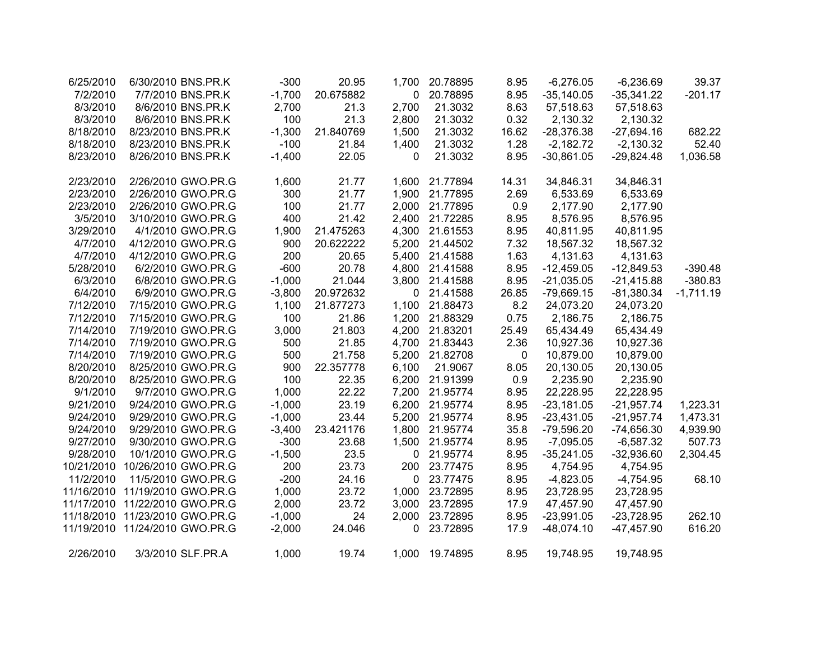| 6/25/2010  | 6/30/2010 BNS.PR.K  | $-300$   | 20.95     | 1,700 | 20.78895       | 8.95  | $-6,276.05$  | $-6,236.69$  | 39.37       |
|------------|---------------------|----------|-----------|-------|----------------|-------|--------------|--------------|-------------|
| 7/2/2010   | 7/7/2010 BNS.PR.K   | $-1,700$ | 20.675882 | 0     | 20.78895       | 8.95  | $-35,140.05$ | $-35,341.22$ | $-201.17$   |
| 8/3/2010   | 8/6/2010 BNS.PR.K   | 2,700    | 21.3      | 2,700 | 21.3032        | 8.63  | 57,518.63    | 57,518.63    |             |
| 8/3/2010   | 8/6/2010 BNS.PR.K   | 100      | 21.3      | 2,800 | 21.3032        | 0.32  | 2,130.32     | 2,130.32     |             |
| 8/18/2010  | 8/23/2010 BNS.PR.K  | $-1,300$ | 21.840769 | 1,500 | 21.3032        | 16.62 | $-28,376.38$ | $-27,694.16$ | 682.22      |
| 8/18/2010  | 8/23/2010 BNS.PR.K  | $-100$   | 21.84     | 1,400 | 21.3032        | 1.28  | $-2,182.72$  | $-2,130.32$  | 52.40       |
| 8/23/2010  | 8/26/2010 BNS.PR.K  | $-1,400$ | 22.05     | 0     | 21.3032        | 8.95  | $-30,861.05$ | $-29,824.48$ | 1,036.58    |
| 2/23/2010  | 2/26/2010 GWO.PR.G  | 1,600    | 21.77     |       | 1,600 21.77894 | 14.31 | 34,846.31    | 34,846.31    |             |
|            |                     |          |           |       |                |       |              |              |             |
| 2/23/2010  | 2/26/2010 GWO.PR.G  | 300      | 21.77     | 1,900 | 21.77895       | 2.69  | 6,533.69     | 6,533.69     |             |
| 2/23/2010  | 2/26/2010 GWO.PR.G  | 100      | 21.77     | 2,000 | 21.77895       | 0.9   | 2,177.90     | 2,177.90     |             |
| 3/5/2010   | 3/10/2010 GWO.PR.G  | 400      | 21.42     | 2,400 | 21.72285       | 8.95  | 8,576.95     | 8,576.95     |             |
| 3/29/2010  | 4/1/2010 GWO.PR.G   | 1,900    | 21.475263 |       | 4,300 21.61553 | 8.95  | 40,811.95    | 40,811.95    |             |
| 4/7/2010   | 4/12/2010 GWO.PR.G  | 900      | 20.622222 |       | 5,200 21.44502 | 7.32  | 18,567.32    | 18,567.32    |             |
| 4/7/2010   | 4/12/2010 GWO.PR.G  | 200      | 20.65     |       | 5,400 21.41588 | 1.63  | 4,131.63     | 4,131.63     |             |
| 5/28/2010  | 6/2/2010 GWO.PR.G   | $-600$   | 20.78     |       | 4,800 21.41588 | 8.95  | $-12,459.05$ | $-12,849.53$ | $-390.48$   |
| 6/3/2010   | 6/8/2010 GWO.PR.G   | $-1,000$ | 21.044    | 3,800 | 21.41588       | 8.95  | $-21,035.05$ | $-21,415.88$ | $-380.83$   |
| 6/4/2010   | 6/9/2010 GWO.PR.G   | $-3,800$ | 20.972632 |       | 0 21.41588     | 26.85 | $-79,669.15$ | $-81,380.34$ | $-1,711.19$ |
| 7/12/2010  | 7/15/2010 GWO.PR.G  | 1,100    | 21.877273 | 1,100 | 21.88473       | 8.2   | 24,073.20    | 24,073.20    |             |
| 7/12/2010  | 7/15/2010 GWO.PR.G  | 100      | 21.86     | 1,200 | 21.88329       | 0.75  | 2,186.75     | 2,186.75     |             |
| 7/14/2010  | 7/19/2010 GWO.PR.G  | 3,000    | 21.803    |       | 4,200 21.83201 | 25.49 | 65,434.49    | 65,434.49    |             |
| 7/14/2010  | 7/19/2010 GWO.PR.G  | 500      | 21.85     |       | 4,700 21.83443 | 2.36  | 10,927.36    | 10,927.36    |             |
| 7/14/2010  | 7/19/2010 GWO.PR.G  | 500      | 21.758    |       | 5,200 21.82708 | 0     | 10,879.00    | 10,879.00    |             |
| 8/20/2010  | 8/25/2010 GWO.PR.G  | 900      | 22.357778 | 6,100 | 21.9067        | 8.05  | 20,130.05    | 20,130.05    |             |
| 8/20/2010  | 8/25/2010 GWO.PR.G  | 100      | 22.35     |       | 6,200 21.91399 | 0.9   | 2,235.90     | 2,235.90     |             |
| 9/1/2010   | 9/7/2010 GWO.PR.G   | 1,000    | 22.22     |       | 7,200 21.95774 | 8.95  | 22,228.95    | 22,228.95    |             |
| 9/21/2010  | 9/24/2010 GWO.PR.G  | $-1,000$ | 23.19     |       | 6,200 21.95774 | 8.95  | $-23,181.05$ | $-21,957.74$ | 1,223.31    |
| 9/24/2010  | 9/29/2010 GWO.PR.G  | $-1,000$ | 23.44     |       | 5,200 21.95774 | 8.95  | $-23,431.05$ | $-21,957.74$ | 1,473.31    |
| 9/24/2010  | 9/29/2010 GWO.PR.G  | $-3,400$ | 23.421176 |       | 1,800 21.95774 | 35.8  | $-79,596.20$ | $-74,656.30$ | 4,939.90    |
| 9/27/2010  | 9/30/2010 GWO.PR.G  | $-300$   | 23.68     |       | 1,500 21.95774 | 8.95  | $-7,095.05$  | $-6,587.32$  | 507.73      |
| 9/28/2010  | 10/1/2010 GWO.PR.G  | $-1,500$ | 23.5      |       | 0 21.95774     | 8.95  | $-35,241.05$ | $-32,936.60$ | 2,304.45    |
| 10/21/2010 | 10/26/2010 GWO.PR.G | 200      | 23.73     | 200   | 23.77475       | 8.95  | 4,754.95     | 4,754.95     |             |
| 11/2/2010  | 11/5/2010 GWO.PR.G  | $-200$   | 24.16     | 0     | 23.77475       | 8.95  | $-4,823.05$  | $-4,754.95$  | 68.10       |
| 11/16/2010 | 11/19/2010 GWO.PR.G | 1,000    | 23.72     | 1,000 | 23.72895       | 8.95  | 23,728.95    | 23,728.95    |             |
| 11/17/2010 | 11/22/2010 GWO.PR.G | 2,000    | 23.72     | 3,000 | 23.72895       | 17.9  | 47,457.90    | 47,457.90    |             |
| 11/18/2010 | 11/23/2010 GWO.PR.G | $-1,000$ | 24        | 2,000 | 23.72895       | 8.95  | $-23,991.05$ | $-23,728.95$ | 262.10      |
| 11/19/2010 | 11/24/2010 GWO.PR.G | $-2,000$ | 24.046    | 0     | 23.72895       | 17.9  | $-48,074.10$ | $-47,457.90$ | 616.20      |
|            |                     |          |           |       |                |       |              |              |             |
| 2/26/2010  | 3/3/2010 SLF.PR.A   | 1,000    | 19.74     | 1,000 | 19.74895       | 8.95  | 19,748.95    | 19,748.95    |             |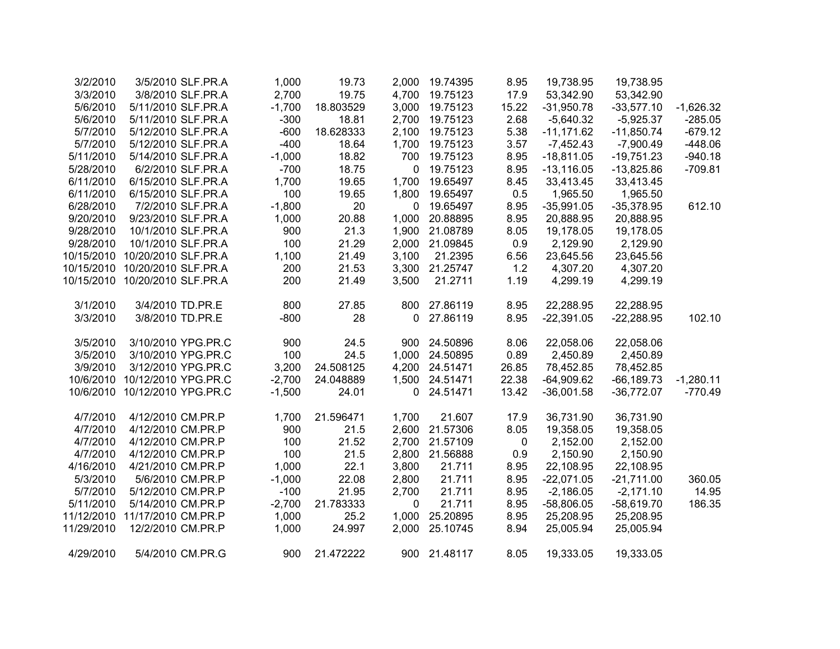|             | 19,738.95     | 19,738.95    | 8.95  | 19.74395       | 2,000        | 19.73     | 1,000    | 3/5/2010 SLF.PR.A  |                                | 3/2/2010   |
|-------------|---------------|--------------|-------|----------------|--------------|-----------|----------|--------------------|--------------------------------|------------|
|             | 53,342.90     | 53,342.90    | 17.9  | 19.75123       | 4,700        | 19.75     | 2,700    | 3/8/2010 SLF.PR.A  |                                | 3/3/2010   |
| $-1,626.32$ | $-33,577.10$  | $-31,950.78$ | 15.22 | 19.75123       | 3,000        | 18.803529 | $-1,700$ |                    | 5/11/2010 SLF.PR.A             | 5/6/2010   |
| $-285.05$   | $-5,925.37$   | $-5,640.32$  | 2.68  | 19.75123       | 2,700        | 18.81     | $-300$   |                    | 5/11/2010 SLF.PR.A             | 5/6/2010   |
| $-679.12$   | $-11,850.74$  | $-11,171.62$ | 5.38  | 19.75123       | 2,100        | 18.628333 | $-600$   |                    | 5/12/2010 SLF.PR.A             | 5/7/2010   |
| $-448.06$   | $-7,900.49$   | $-7,452.43$  | 3.57  | 19.75123       | 1,700        | 18.64     | $-400$   |                    | 5/12/2010 SLF.PR.A             | 5/7/2010   |
| $-940.18$   | $-19,751.23$  | $-18,811.05$ | 8.95  | 19.75123       | 700          | 18.82     | $-1,000$ |                    | 5/14/2010 SLF.PR.A             | 5/11/2010  |
| $-709.81$   | $-13,825.86$  | $-13,116.05$ | 8.95  | 19.75123       | 0            | 18.75     | $-700$   | 6/2/2010 SLF.PR.A  |                                | 5/28/2010  |
|             | 33,413.45     | 33,413.45    | 8.45  | 19.65497       | 1,700        | 19.65     | 1,700    |                    | 6/15/2010 SLF.PR.A             | 6/11/2010  |
|             | 1,965.50      | 1,965.50     | 0.5   | 19.65497       | 1,800        | 19.65     | 100      |                    | 6/15/2010 SLF.PR.A             | 6/11/2010  |
| 612.10      | $-35,378.95$  | $-35,991.05$ | 8.95  | 19.65497       | $\mathbf 0$  | 20        | $-1,800$ | 7/2/2010 SLF.PR.A  |                                | 6/28/2010  |
|             | 20,888.95     | 20,888.95    | 8.95  | 20.88895       | 1,000        | 20.88     | 1,000    |                    | 9/23/2010 SLF.PR.A             | 9/20/2010  |
|             | 19,178.05     | 19,178.05    | 8.05  | 21.08789       | 1,900        | 21.3      | 900      |                    | 10/1/2010 SLF.PR.A             | 9/28/2010  |
|             | 2,129.90      | 2,129.90     | 0.9   | 21.09845       | 2,000        | 21.29     | 100      |                    | 10/1/2010 SLF.PR.A             | 9/28/2010  |
|             | 23,645.56     | 23,645.56    | 6.56  | 21.2395        | 3,100        | 21.49     | 1,100    |                    | 10/20/2010 SLF.PR.A            | 10/15/2010 |
|             | 4,307.20      | 4,307.20     | 1.2   | 3,300 21.25747 |              | 21.53     | 200      |                    | 10/20/2010 SLF.PR.A            | 10/15/2010 |
|             | 4,299.19      | 4,299.19     | 1.19  | 21.2711        | 3,500        | 21.49     | 200      |                    | 10/15/2010 10/20/2010 SLF.PR.A |            |
|             | 22,288.95     | 22,288.95    | 8.95  | 27.86119       | 800          | 27.85     | 800      |                    | 3/4/2010 TD.PR.E               | 3/1/2010   |
| 102.10      | $-22,288.95$  | $-22,391.05$ | 8.95  | 27.86119       | $\mathbf 0$  | 28        | $-800$   |                    | 3/8/2010 TD.PR.E               | 3/3/2010   |
|             | 22,058.06     | 22,058.06    | 8.06  | 24.50896       | 900          | 24.5      | 900      | 3/10/2010 YPG.PR.C |                                | 3/5/2010   |
|             | 2,450.89      | 2,450.89     | 0.89  | 1,000 24.50895 |              | 24.5      | 100      | 3/10/2010 YPG.PR.C |                                | 3/5/2010   |
|             | 78,452.85     | 78,452.85    | 26.85 | 4,200 24.51471 |              | 24.508125 | 3,200    | 3/12/2010 YPG.PR.C |                                | 3/9/2010   |
| $-1,280.11$ | $-66, 189.73$ | $-64,909.62$ | 22.38 | 1,500 24.51471 |              | 24.048889 | $-2,700$ |                    | 10/12/2010 YPG.PR.C            | 10/6/2010  |
| $-770.49$   | $-36,772.07$  | $-36,001.58$ | 13.42 | 24.51471       | 0            | 24.01     | $-1,500$ |                    | 10/12/2010 YPG.PR.C            | 10/6/2010  |
|             | 36,731.90     | 36,731.90    | 17.9  | 21.607         | 1,700        | 21.596471 | 1,700    |                    | 4/12/2010 CM.PR.P              | 4/7/2010   |
|             | 19,358.05     | 19,358.05    | 8.05  | 21.57306       | 2,600        | 21.5      | 900      |                    | 4/12/2010 CM.PR.P              | 4/7/2010   |
|             | 2,152.00      | 2,152.00     | 0     | 21.57109       | 2,700        | 21.52     | 100      |                    | 4/12/2010 CM.PR.P              | 4/7/2010   |
|             | 2,150.90      | 2,150.90     | 0.9   | 2,800 21.56888 |              | 21.5      | 100      |                    | 4/12/2010 CM.PR.P              | 4/7/2010   |
|             | 22,108.95     | 22,108.95    | 8.95  | 21.711         | 3,800        | 22.1      | 1,000    |                    | 4/21/2010 CM.PR.P              | 4/16/2010  |
| 360.05      | $-21,711.00$  | $-22,071.05$ | 8.95  | 21.711         | 2,800        | 22.08     | $-1,000$ | 5/6/2010 CM.PR.P   |                                | 5/3/2010   |
| 14.95       | $-2,171.10$   | $-2,186.05$  | 8.95  | 21.711         | 2,700        | 21.95     | $-100$   |                    | 5/12/2010 CM.PR.P              | 5/7/2010   |
| 186.35      | $-58,619.70$  | $-58,806.05$ | 8.95  | 21.711         | $\mathbf{0}$ | 21.783333 | $-2,700$ |                    | 5/14/2010 CM.PR.P              | 5/11/2010  |
|             | 25,208.95     | 25,208.95    | 8.95  | 25.20895       | 1,000        | 25.2      | 1,000    |                    | 11/17/2010 CM.PR.P             | 11/12/2010 |
|             | 25,005.94     | 25,005.94    | 8.94  | 25.10745       | 2,000        | 24.997    | 1,000    |                    | 12/2/2010 CM.PR.P              | 11/29/2010 |
|             | 19,333.05     | 19,333.05    | 8.05  | 900 21.48117   |              | 21.472222 | 900      | 5/4/2010 CM.PR.G   |                                | 4/29/2010  |
|             |               |              |       |                |              |           |          |                    |                                |            |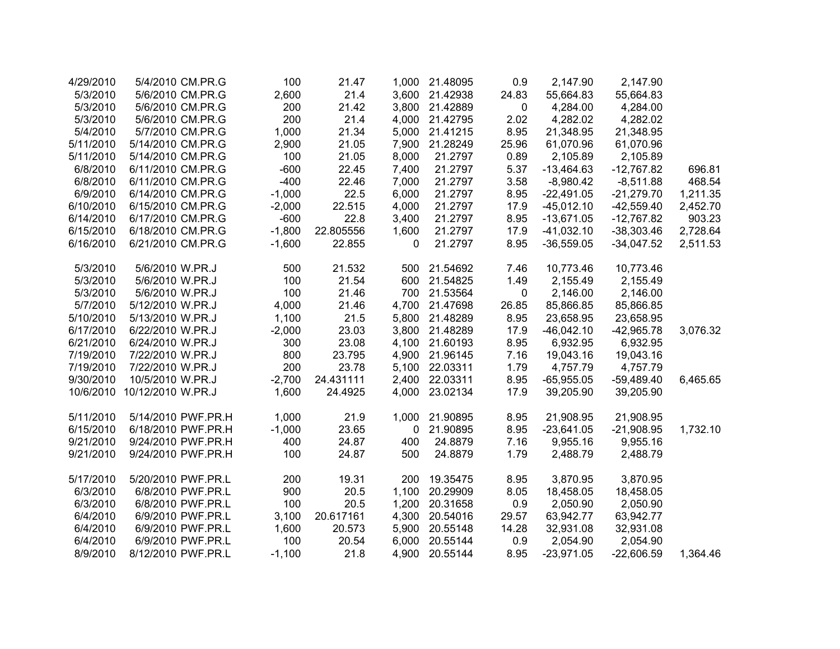| 4/29/2010 | 5/4/2010 CM.PR.G   | 100      | 21.47     | 1,000 | 21.48095       | 0.9       | 2,147.90     | 2,147.90     |          |
|-----------|--------------------|----------|-----------|-------|----------------|-----------|--------------|--------------|----------|
| 5/3/2010  | 5/6/2010 CM.PR.G   | 2,600    | 21.4      |       | 3,600 21.42938 | 24.83     | 55,664.83    | 55,664.83    |          |
| 5/3/2010  | 5/6/2010 CM.PR.G   | 200      | 21.42     | 3,800 | 21.42889       | 0         | 4,284.00     | 4,284.00     |          |
| 5/3/2010  | 5/6/2010 CM.PR.G   | 200      | 21.4      |       | 4,000 21.42795 | 2.02      | 4,282.02     | 4,282.02     |          |
| 5/4/2010  | 5/7/2010 CM.PR.G   | 1,000    | 21.34     | 5,000 | 21.41215       | 8.95      | 21,348.95    | 21,348.95    |          |
| 5/11/2010 | 5/14/2010 CM.PR.G  | 2,900    | 21.05     | 7,900 | 21.28249       | 25.96     | 61,070.96    | 61,070.96    |          |
| 5/11/2010 | 5/14/2010 CM.PR.G  | 100      | 21.05     | 8,000 | 21.2797        | 0.89      | 2,105.89     | 2,105.89     |          |
| 6/8/2010  | 6/11/2010 CM.PR.G  | $-600$   | 22.45     | 7,400 | 21.2797        | 5.37      | $-13,464.63$ | $-12,767.82$ | 696.81   |
| 6/8/2010  | 6/11/2010 CM.PR.G  | $-400$   | 22.46     | 7,000 | 21.2797        | 3.58      | $-8,980.42$  | $-8,511.88$  | 468.54   |
| 6/9/2010  | 6/14/2010 CM.PR.G  | $-1,000$ | 22.5      | 6,000 | 21.2797        | 8.95      | $-22,491.05$ | $-21,279.70$ | 1,211.35 |
| 6/10/2010 | 6/15/2010 CM.PR.G  | $-2,000$ | 22.515    | 4,000 | 21.2797        | 17.9      | $-45,012.10$ | $-42,559.40$ | 2,452.70 |
| 6/14/2010 | 6/17/2010 CM.PR.G  | $-600$   | 22.8      | 3,400 | 21.2797        | 8.95      | $-13,671.05$ | $-12,767.82$ | 903.23   |
| 6/15/2010 | 6/18/2010 CM.PR.G  | $-1,800$ | 22.805556 | 1,600 | 21.2797        | 17.9      | $-41,032.10$ | $-38,303.46$ | 2,728.64 |
| 6/16/2010 | 6/21/2010 CM.PR.G  | $-1,600$ | 22.855    | 0     | 21.2797        | 8.95      | $-36,559.05$ | $-34,047.52$ | 2,511.53 |
| 5/3/2010  | 5/6/2010 W.PR.J    | 500      | 21.532    | 500   | 21.54692       | 7.46      | 10,773.46    | 10,773.46    |          |
| 5/3/2010  | 5/6/2010 W.PR.J    | 100      | 21.54     | 600   | 21.54825       | 1.49      | 2,155.49     | 2,155.49     |          |
| 5/3/2010  | 5/6/2010 W.PR.J    | 100      | 21.46     | 700   | 21.53564       | $\pmb{0}$ | 2,146.00     | 2,146.00     |          |
| 5/7/2010  | 5/12/2010 W.PR.J   | 4,000    | 21.46     | 4,700 | 21.47698       | 26.85     | 85,866.85    | 85,866.85    |          |
| 5/10/2010 | 5/13/2010 W.PR.J   | 1,100    | 21.5      |       | 5,800 21.48289 | 8.95      | 23,658.95    | 23,658.95    |          |
| 6/17/2010 | 6/22/2010 W.PR.J   | $-2,000$ | 23.03     | 3,800 | 21.48289       | 17.9      | $-46,042.10$ | $-42,965.78$ | 3,076.32 |
| 6/21/2010 | 6/24/2010 W.PR.J   | 300      | 23.08     | 4,100 | 21.60193       | 8.95      | 6,932.95     | 6,932.95     |          |
| 7/19/2010 | 7/22/2010 W.PR.J   | 800      | 23.795    | 4,900 | 21.96145       | 7.16      | 19,043.16    | 19,043.16    |          |
| 7/19/2010 | 7/22/2010 W.PR.J   | 200      | 23.78     | 5,100 | 22.03311       | 1.79      | 4,757.79     | 4,757.79     |          |
| 9/30/2010 | 10/5/2010 W.PR.J   | $-2,700$ | 24.431111 | 2,400 | 22.03311       | 8.95      | $-65,955.05$ | $-59,489.40$ | 6,465.65 |
| 10/6/2010 | 10/12/2010 W.PR.J  | 1,600    | 24.4925   | 4,000 | 23.02134       | 17.9      | 39,205.90    | 39,205.90    |          |
| 5/11/2010 | 5/14/2010 PWF.PR.H | 1,000    | 21.9      | 1,000 | 21.90895       | 8.95      | 21,908.95    | 21,908.95    |          |
| 6/15/2010 | 6/18/2010 PWF.PR.H | $-1,000$ | 23.65     | 0     | 21.90895       | 8.95      | $-23,641.05$ | $-21,908.95$ | 1,732.10 |
| 9/21/2010 | 9/24/2010 PWF.PR.H | 400      | 24.87     | 400   | 24.8879        | 7.16      | 9,955.16     | 9,955.16     |          |
| 9/21/2010 | 9/24/2010 PWF.PR.H | 100      | 24.87     | 500   | 24.8879        | 1.79      | 2,488.79     | 2,488.79     |          |
| 5/17/2010 | 5/20/2010 PWF.PR.L | 200      | 19.31     | 200   | 19.35475       | 8.95      | 3,870.95     | 3,870.95     |          |
| 6/3/2010  | 6/8/2010 PWF.PR.L  | 900      | 20.5      | 1,100 | 20.29909       | 8.05      | 18,458.05    | 18,458.05    |          |
| 6/3/2010  | 6/8/2010 PWF.PR.L  | 100      | 20.5      | 1,200 | 20.31658       | 0.9       | 2,050.90     | 2,050.90     |          |
| 6/4/2010  | 6/9/2010 PWF.PR.L  | 3,100    | 20.617161 | 4,300 | 20.54016       | 29.57     | 63,942.77    | 63,942.77    |          |
| 6/4/2010  | 6/9/2010 PWF.PR.L  | 1,600    | 20.573    | 5,900 | 20.55148       | 14.28     | 32,931.08    | 32,931.08    |          |
| 6/4/2010  | 6/9/2010 PWF.PR.L  | 100      | 20.54     | 6,000 | 20.55144       | 0.9       | 2,054.90     | 2,054.90     |          |
| 8/9/2010  | 8/12/2010 PWF.PR.L | $-1,100$ | 21.8      |       | 4,900 20.55144 | 8.95      | $-23,971.05$ | $-22,606.59$ | 1,364.46 |
|           |                    |          |           |       |                |           |              |              |          |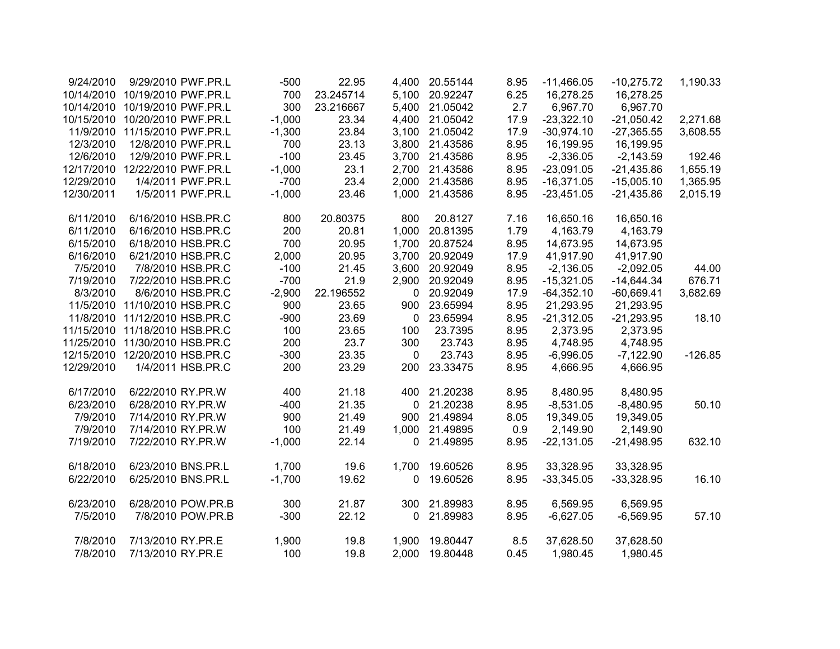| 9/24/2010  | 9/29/2010 PWF.PR.L  | $-500$   | 22.95     | 4,400        | 20.55144       | 8.95 | $-11,466.05$ | $-10,275.72$ | 1,190.33  |
|------------|---------------------|----------|-----------|--------------|----------------|------|--------------|--------------|-----------|
| 10/14/2010 | 10/19/2010 PWF.PR.L | 700      | 23.245714 | 5,100        | 20.92247       | 6.25 | 16,278.25    | 16,278.25    |           |
| 10/14/2010 | 10/19/2010 PWF.PR.L | 300      | 23.216667 | 5,400        | 21.05042       | 2.7  | 6,967.70     | 6,967.70     |           |
| 10/15/2010 | 10/20/2010 PWF.PR.L | $-1,000$ | 23.34     | 4,400        | 21.05042       | 17.9 | $-23,322.10$ | $-21,050.42$ | 2,271.68  |
| 11/9/2010  | 11/15/2010 PWF.PR.L | $-1,300$ | 23.84     | 3,100        | 21.05042       | 17.9 | $-30,974.10$ | $-27,365.55$ | 3,608.55  |
| 12/3/2010  | 12/8/2010 PWF.PR.L  | 700      | 23.13     | 3,800        | 21.43586       | 8.95 | 16,199.95    | 16,199.95    |           |
| 12/6/2010  | 12/9/2010 PWF.PR.L  | $-100$   | 23.45     |              | 3,700 21.43586 | 8.95 | $-2,336.05$  | $-2,143.59$  | 192.46    |
| 12/17/2010 | 12/22/2010 PWF.PR.L | $-1,000$ | 23.1      | 2,700        | 21.43586       | 8.95 | $-23,091.05$ | $-21,435.86$ | 1,655.19  |
| 12/29/2010 | 1/4/2011 PWF.PR.L   | $-700$   | 23.4      | 2,000        | 21.43586       | 8.95 | $-16,371.05$ | $-15,005.10$ | 1,365.95  |
| 12/30/2011 | 1/5/2011 PWF.PR.L   | $-1,000$ | 23.46     | 1,000        | 21.43586       | 8.95 | $-23,451.05$ | $-21,435.86$ | 2,015.19  |
| 6/11/2010  | 6/16/2010 HSB.PR.C  | 800      | 20.80375  | 800          | 20.8127        | 7.16 | 16,650.16    | 16,650.16    |           |
| 6/11/2010  | 6/16/2010 HSB.PR.C  | 200      | 20.81     | 1,000        | 20.81395       | 1.79 | 4,163.79     | 4,163.79     |           |
| 6/15/2010  | 6/18/2010 HSB.PR.C  | 700      | 20.95     | 1,700        | 20.87524       | 8.95 | 14,673.95    | 14,673.95    |           |
| 6/16/2010  | 6/21/2010 HSB.PR.C  | 2,000    | 20.95     | 3,700        | 20.92049       | 17.9 | 41,917.90    | 41,917.90    |           |
| 7/5/2010   | 7/8/2010 HSB.PR.C   | $-100$   | 21.45     | 3,600        | 20.92049       | 8.95 | $-2,136.05$  | $-2,092.05$  | 44.00     |
| 7/19/2010  | 7/22/2010 HSB.PR.C  | $-700$   | 21.9      | 2,900        | 20.92049       | 8.95 | $-15,321.05$ | $-14,644.34$ | 676.71    |
| 8/3/2010   | 8/6/2010 HSB.PR.C   | $-2,900$ | 22.196552 | $\mathbf 0$  | 20.92049       | 17.9 | $-64,352.10$ | $-60,669.41$ | 3,682.69  |
| 11/5/2010  | 11/10/2010 HSB.PR.C | 900      | 23.65     | 900          | 23.65994       | 8.95 | 21,293.95    | 21,293.95    |           |
| 11/8/2010  | 11/12/2010 HSB.PR.C | $-900$   | 23.69     | 0            | 23.65994       | 8.95 | $-21,312.05$ | $-21,293.95$ | 18.10     |
| 11/15/2010 | 11/18/2010 HSB.PR.C | 100      | 23.65     | 100          | 23.7395        | 8.95 | 2,373.95     | 2,373.95     |           |
| 11/25/2010 | 11/30/2010 HSB.PR.C | 200      | 23.7      | 300          | 23.743         | 8.95 | 4,748.95     | 4,748.95     |           |
| 12/15/2010 | 12/20/2010 HSB.PR.C | $-300$   | 23.35     | $\mathbf 0$  | 23.743         | 8.95 | $-6,996.05$  | $-7,122.90$  | $-126.85$ |
| 12/29/2010 | 1/4/2011 HSB.PR.C   | 200      | 23.29     | 200          | 23.33475       | 8.95 | 4,666.95     | 4,666.95     |           |
| 6/17/2010  | 6/22/2010 RY.PR.W   | 400      | 21.18     | 400          | 21.20238       | 8.95 | 8,480.95     | 8,480.95     |           |
| 6/23/2010  | 6/28/2010 RY.PR.W   | $-400$   | 21.35     | $\Omega$     | 21.20238       | 8.95 | $-8,531.05$  | $-8,480.95$  | 50.10     |
| 7/9/2010   | 7/14/2010 RY.PR.W   | 900      | 21.49     | 900          | 21.49894       | 8.05 | 19,349.05    | 19,349.05    |           |
| 7/9/2010   | 7/14/2010 RY.PR.W   | 100      | 21.49     | 1,000        | 21.49895       | 0.9  | 2,149.90     | 2,149.90     |           |
| 7/19/2010  | 7/22/2010 RY.PR.W   | $-1,000$ | 22.14     | $\mathbf{0}$ | 21.49895       | 8.95 | $-22,131.05$ | $-21,498.95$ | 632.10    |
| 6/18/2010  | 6/23/2010 BNS.PR.L  | 1,700    | 19.6      | 1,700        | 19.60526       | 8.95 | 33,328.95    | 33,328.95    |           |
| 6/22/2010  | 6/25/2010 BNS.PR.L  | $-1,700$ | 19.62     | 0            | 19.60526       | 8.95 | $-33,345.05$ | $-33,328.95$ | 16.10     |
| 6/23/2010  | 6/28/2010 POW.PR.B  | 300      | 21.87     | 300          | 21.89983       | 8.95 | 6,569.95     | 6,569.95     |           |
| 7/5/2010   | 7/8/2010 POW.PR.B   | $-300$   | 22.12     | $\mathbf 0$  | 21.89983       | 8.95 | $-6,627.05$  | $-6,569.95$  | 57.10     |
| 7/8/2010   | 7/13/2010 RY.PR.E   | 1,900    | 19.8      | 1,900        | 19.80447       | 8.5  | 37,628.50    | 37,628.50    |           |
| 7/8/2010   | 7/13/2010 RY.PR.E   | 100      | 19.8      | 2,000        | 19.80448       | 0.45 | 1,980.45     | 1,980.45     |           |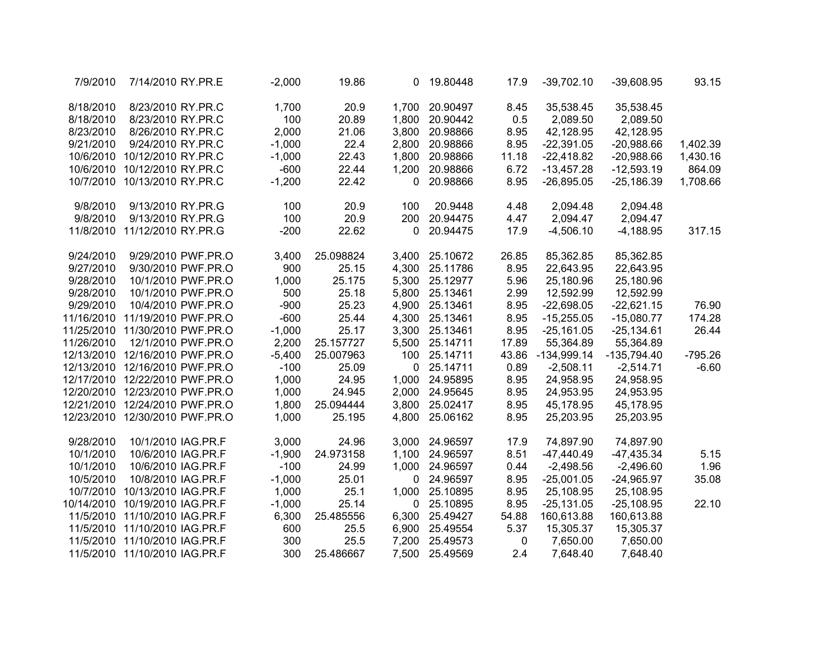| 7/9/2010   | 7/14/2010 RY.PR.E                |                    | $-2,000$ | 19.86     | 0            | 19.80448       | 17.9  | $-39,702.10$  | $-39,608.95$  | 93.15     |
|------------|----------------------------------|--------------------|----------|-----------|--------------|----------------|-------|---------------|---------------|-----------|
| 8/18/2010  | 8/23/2010 RY.PR.C                |                    | 1,700    | 20.9      | 1,700        | 20.90497       | 8.45  | 35,538.45     | 35,538.45     |           |
| 8/18/2010  | 8/23/2010 RY.PR.C                |                    | 100      | 20.89     | 1,800        | 20.90442       | 0.5   | 2,089.50      | 2,089.50      |           |
| 8/23/2010  | 8/26/2010 RY.PR.C                |                    | 2,000    | 21.06     |              | 3,800 20.98866 | 8.95  | 42,128.95     | 42,128.95     |           |
| 9/21/2010  | 9/24/2010 RY.PR.C                |                    | $-1,000$ | 22.4      |              | 2,800 20.98866 | 8.95  | $-22,391.05$  | $-20,988.66$  | 1,402.39  |
| 10/6/2010  | 10/12/2010 RY.PR.C               |                    | $-1,000$ | 22.43     | 1,800        | 20.98866       | 11.18 | $-22,418.82$  | $-20,988.66$  | 1,430.16  |
| 10/6/2010  | 10/12/2010 RY.PR.C               |                    | $-600$   | 22.44     | 1,200        | 20.98866       | 6.72  | $-13,457.28$  | $-12,593.19$  | 864.09    |
| 10/7/2010  | 10/13/2010 RY.PR.C               |                    | $-1,200$ | 22.42     | 0            | 20.98866       | 8.95  | $-26,895.05$  | $-25,186.39$  | 1,708.66  |
| 9/8/2010   | 9/13/2010 RY.PR.G                |                    | 100      | 20.9      | 100          | 20.9448        | 4.48  | 2,094.48      | 2,094.48      |           |
| 9/8/2010   | 9/13/2010 RY.PR.G                |                    | 100      | 20.9      | 200          | 20.94475       | 4.47  | 2,094.47      | 2,094.47      |           |
| 11/8/2010  | 11/12/2010 RY.PR.G               |                    | $-200$   | 22.62     | 0            | 20.94475       | 17.9  | $-4,506.10$   | $-4,188.95$   | 317.15    |
| 9/24/2010  |                                  | 9/29/2010 PWF.PR.O | 3,400    | 25.098824 |              | 3,400 25.10672 | 26.85 | 85,362.85     | 85,362.85     |           |
| 9/27/2010  |                                  | 9/30/2010 PWF.PR.O | 900      | 25.15     |              | 4,300 25.11786 | 8.95  | 22,643.95     | 22,643.95     |           |
| 9/28/2010  |                                  | 10/1/2010 PWF.PR.O | 1,000    | 25.175    |              | 5,300 25.12977 | 5.96  | 25,180.96     | 25,180.96     |           |
| 9/28/2010  |                                  | 10/1/2010 PWF.PR.O | 500      | 25.18     |              | 5,800 25.13461 | 2.99  | 12,592.99     | 12,592.99     |           |
| 9/29/2010  |                                  | 10/4/2010 PWF.PR.O | $-900$   | 25.23     |              | 4,900 25.13461 | 8.95  | $-22,698.05$  | $-22,621.15$  | 76.90     |
| 11/16/2010 | 11/19/2010 PWF.PR.O              |                    | $-600$   | 25.44     |              | 4,300 25.13461 | 8.95  | $-15,255.05$  | $-15,080.77$  | 174.28    |
| 11/25/2010 | 11/30/2010 PWF.PR.O              |                    | $-1,000$ | 25.17     | 3,300        | 25.13461       | 8.95  | $-25,161.05$  | $-25,134.61$  | 26.44     |
| 11/26/2010 |                                  | 12/1/2010 PWF.PR.O | 2,200    | 25.157727 | 5,500        | 25.14711       | 17.89 | 55,364.89     | 55,364.89     |           |
| 12/13/2010 | 12/16/2010 PWF.PR.O              |                    | $-5,400$ | 25.007963 | 100          | 25.14711       | 43.86 | $-134,999.14$ | $-135,794.40$ | $-795.26$ |
|            | 12/13/2010  12/16/2010  PWF.PR.O |                    | $-100$   | 25.09     | $\mathbf{0}$ | 25.14711       | 0.89  | $-2,508.11$   | $-2,514.71$   | $-6.60$   |
|            | 12/17/2010 12/22/2010 PWF.PR.O   |                    | 1,000    | 24.95     | 1,000        | 24.95895       | 8.95  | 24,958.95     | 24,958.95     |           |
|            | 12/20/2010 12/23/2010 PWF.PR.O   |                    | 1,000    | 24.945    |              | 2,000 24.95645 | 8.95  | 24,953.95     | 24,953.95     |           |
|            | 12/21/2010 12/24/2010 PWF.PR.O   |                    | 1,800    | 25.094444 |              | 3,800 25.02417 | 8.95  | 45,178.95     | 45,178.95     |           |
|            | 12/23/2010 12/30/2010 PWF.PR.O   |                    | 1,000    | 25.195    |              | 4,800 25.06162 | 8.95  | 25,203.95     | 25,203.95     |           |
| 9/28/2010  | 10/1/2010 IAG.PR.F               |                    | 3,000    | 24.96     | 3,000        | 24.96597       | 17.9  | 74,897.90     | 74,897.90     |           |
| 10/1/2010  | 10/6/2010 IAG.PR.F               |                    | $-1,900$ | 24.973158 |              | 1,100 24.96597 | 8.51  | $-47,440.49$  | $-47,435.34$  | 5.15      |
| 10/1/2010  | 10/6/2010 IAG.PR.F               |                    | $-100$   | 24.99     |              | 1,000 24.96597 | 0.44  | $-2,498.56$   | $-2,496.60$   | 1.96      |
| 10/5/2010  | 10/8/2010 IAG.PR.F               |                    | $-1,000$ | 25.01     | $\mathbf 0$  | 24.96597       | 8.95  | $-25,001.05$  | $-24,965.97$  | 35.08     |
| 10/7/2010  | 10/13/2010 IAG.PR.F              |                    | 1,000    | 25.1      | 1,000        | 25.10895       | 8.95  | 25,108.95     | 25,108.95     |           |
| 10/14/2010 | 10/19/2010 IAG.PR.F              |                    | $-1,000$ | 25.14     | 0            | 25.10895       | 8.95  | $-25,131.05$  | $-25,108.95$  | 22.10     |
| 11/5/2010  | 11/10/2010 IAG.PR.F              |                    | 6,300    | 25.485556 | 6,300        | 25.49427       | 54.88 | 160,613.88    | 160,613.88    |           |
|            | 11/5/2010 11/10/2010 IAG.PR.F    |                    | 600      | 25.5      |              | 6,900 25.49554 | 5.37  | 15,305.37     | 15,305.37     |           |
| 11/5/2010  | 11/10/2010 IAG.PR.F              |                    | 300      | 25.5      | 7,200        | 25.49573       | 0     | 7,650.00      | 7,650.00      |           |
|            | 11/5/2010 11/10/2010 IAG.PR.F    |                    | 300      | 25.486667 | 7,500        | 25.49569       | 2.4   | 7,648.40      | 7,648.40      |           |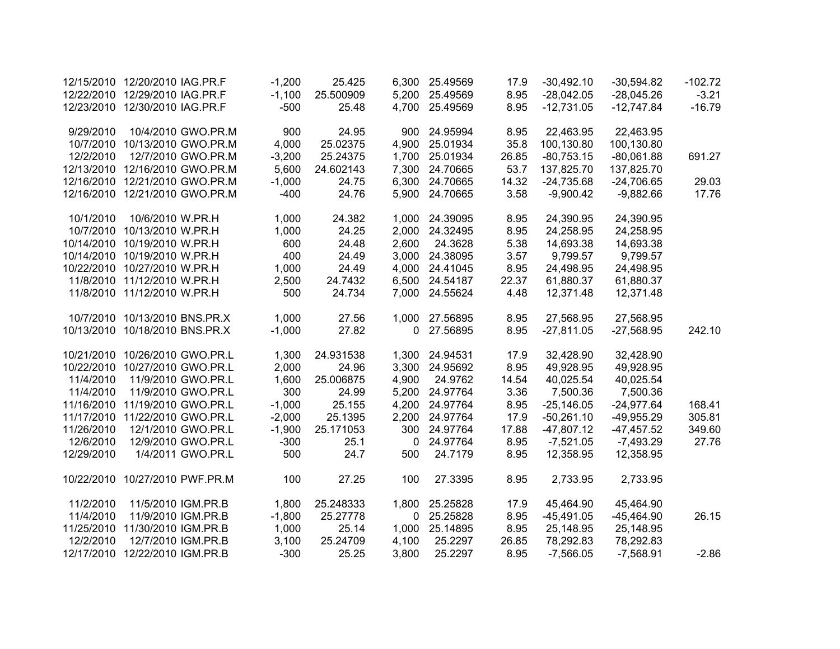|            | 12/15/2010 12/20/2010 IAG.PR.F |                                | $-1,200$ | 25.425    |             | 6,300 25.49569 | 17.9  | $-30,492.10$ | $-30,594.82$ | $-102.72$ |
|------------|--------------------------------|--------------------------------|----------|-----------|-------------|----------------|-------|--------------|--------------|-----------|
|            | 12/22/2010 12/29/2010 IAG.PR.F |                                | $-1,100$ | 25.500909 |             | 5,200 25.49569 | 8.95  | $-28,042.05$ | $-28,045.26$ | $-3.21$   |
|            | 12/23/2010 12/30/2010 IAG.PR.F |                                | $-500$   | 25.48     |             | 4,700 25.49569 | 8.95  | $-12,731.05$ | $-12,747.84$ | $-16.79$  |
| 9/29/2010  |                                | 10/4/2010 GWO.PR.M             | 900      | 24.95     | 900         | 24.95994       | 8.95  | 22,463.95    | 22,463.95    |           |
|            |                                | 10/7/2010 10/13/2010 GWO.PR.M  | 4,000    | 25.02375  | 4,900       | 25.01934       | 35.8  |              | 100,130.80   |           |
|            |                                |                                |          |           |             |                |       | 100,130.80   |              |           |
| 12/2/2010  |                                | 12/7/2010 GWO.PR.M             | $-3,200$ | 25.24375  |             | 1,700 25.01934 | 26.85 | $-80,753.15$ | $-80,061.88$ | 691.27    |
|            |                                | 12/13/2010 12/16/2010 GWO.PR.M | 5,600    | 24.602143 | 7,300       | 24.70665       | 53.7  | 137,825.70   | 137,825.70   |           |
|            |                                | 12/16/2010 12/21/2010 GWO.PR.M | $-1,000$ | 24.75     | 6,300       | 24.70665       | 14.32 | $-24,735.68$ | $-24,706.65$ | 29.03     |
|            |                                | 12/16/2010 12/21/2010 GWO.PR.M | $-400$   | 24.76     | 5,900       | 24.70665       | 3.58  | $-9,900.42$  | $-9,882.66$  | 17.76     |
| 10/1/2010  | 10/6/2010 W.PR.H               |                                | 1,000    | 24.382    |             | 1,000 24.39095 | 8.95  | 24,390.95    | 24,390.95    |           |
|            | 10/7/2010 10/13/2010 W.PR.H    |                                | 1,000    | 24.25     |             | 2,000 24.32495 | 8.95  | 24,258.95    | 24,258.95    |           |
|            | 10/14/2010 10/19/2010 W.PR.H   |                                | 600      | 24.48     | 2,600       | 24.3628        | 5.38  | 14,693.38    | 14,693.38    |           |
|            | 10/14/2010 10/19/2010 W.PR.H   |                                | 400      | 24.49     |             | 3,000 24.38095 | 3.57  | 9,799.57     | 9,799.57     |           |
|            | 10/22/2010 10/27/2010 W.PR.H   |                                | 1,000    | 24.49     |             | 4,000 24.41045 | 8.95  | 24,498.95    | 24,498.95    |           |
|            | 11/8/2010 11/12/2010 W.PR.H    |                                | 2,500    | 24.7432   |             | 6,500 24.54187 | 22.37 | 61,880.37    | 61,880.37    |           |
|            | 11/8/2010 11/12/2010 W.PR.H    |                                | 500      | 24.734    |             | 7,000 24.55624 | 4.48  | 12,371.48    | 12,371.48    |           |
|            | 10/7/2010 10/13/2010 BNS.PR.X  |                                | 1,000    | 27.56     |             | 1,000 27.56895 | 8.95  | 27,568.95    | 27,568.95    |           |
|            | 10/13/2010 10/18/2010 BNS.PR.X |                                | $-1,000$ | 27.82     |             | 0 27.56895     | 8.95  | $-27,811.05$ | $-27,568.95$ | 242.10    |
|            |                                |                                |          |           |             |                |       |              |              |           |
|            | 10/21/2010 10/26/2010 GWO.PR.L |                                | 1,300    | 24.931538 | 1,300       | 24.94531       | 17.9  | 32,428.90    | 32,428.90    |           |
|            | 10/22/2010 10/27/2010 GWO.PR.L |                                | 2,000    | 24.96     |             | 3,300 24.95692 | 8.95  | 49,928.95    | 49,928.95    |           |
| 11/4/2010  |                                | 11/9/2010 GWO.PR.L             | 1,600    | 25.006875 | 4,900       | 24.9762        | 14.54 | 40,025.54    | 40,025.54    |           |
| 11/4/2010  |                                | 11/9/2010 GWO.PR.L             | 300      | 24.99     |             | 5,200 24.97764 | 3.36  | 7,500.36     | 7,500.36     |           |
|            | 11/16/2010 11/19/2010 GWO.PR.L |                                | $-1,000$ | 25.155    |             | 4,200 24.97764 | 8.95  | $-25,146.05$ | $-24,977.64$ | 168.41    |
|            | 11/17/2010 11/22/2010 GWO.PR.L |                                | $-2,000$ | 25.1395   |             | 2,200 24.97764 | 17.9  | $-50,261.10$ | $-49,955.29$ | 305.81    |
| 11/26/2010 |                                | 12/1/2010 GWO.PR.L             | $-1,900$ | 25.171053 | 300         | 24.97764       | 17.88 | $-47,807.12$ | $-47,457.52$ | 349.60    |
| 12/6/2010  |                                | 12/9/2010 GWO.PR.L             | $-300$   | 25.1      | $\mathbf 0$ | 24.97764       | 8.95  | $-7,521.05$  | $-7,493.29$  | 27.76     |
| 12/29/2010 |                                | 1/4/2011 GWO.PR.L              | 500      | 24.7      | 500         | 24.7179        | 8.95  | 12,358.95    | 12,358.95    |           |
| 10/22/2010 |                                | 10/27/2010 PWF.PR.M            | 100      | 27.25     | 100         | 27.3395        | 8.95  | 2,733.95     | 2,733.95     |           |
| 11/2/2010  |                                | 11/5/2010 IGM.PR.B             | 1,800    | 25.248333 | 1,800       | 25.25828       | 17.9  | 45,464.90    | 45,464.90    |           |
| 11/4/2010  |                                | 11/9/2010 IGM.PR.B             | $-1,800$ | 25.27778  |             | 0 25.25828     | 8.95  | $-45,491.05$ | $-45,464.90$ | 26.15     |
|            | 11/25/2010 11/30/2010 IGM.PR.B |                                | 1,000    | 25.14     |             | 1,000 25.14895 | 8.95  | 25,148.95    | 25,148.95    |           |
| 12/2/2010  |                                | 12/7/2010 IGM.PR.B             | 3,100    | 25.24709  | 4,100       | 25.2297        | 26.85 | 78,292.83    | 78,292.83    |           |
|            | 12/17/2010 12/22/2010 IGM.PR.B |                                | $-300$   | 25.25     | 3,800       | 25.2297        | 8.95  | $-7,566.05$  | $-7,568.91$  | $-2.86$   |
|            |                                |                                |          |           |             |                |       |              |              |           |